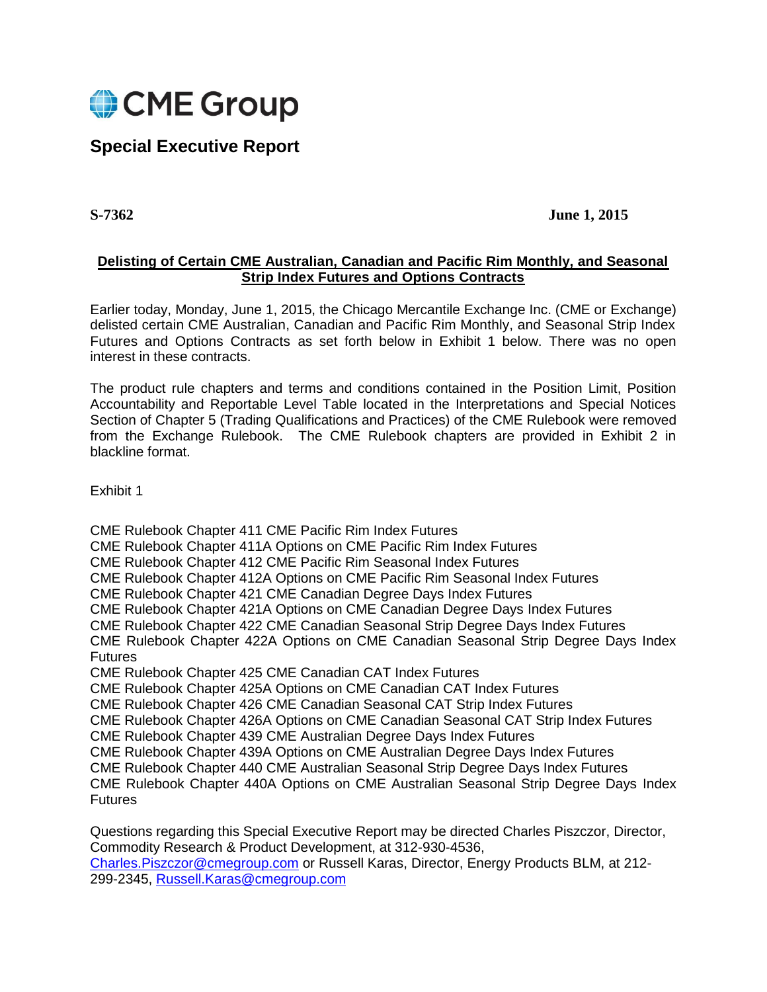

# **Special Executive Report**

**S-7362 June 1, 2015**

# **Delisting of Certain CME Australian, Canadian and Pacific Rim Monthly, and Seasonal Strip Index Futures and Options Contracts**

Earlier today, Monday, June 1, 2015, the Chicago Mercantile Exchange Inc. (CME or Exchange) delisted certain CME Australian, Canadian and Pacific Rim Monthly, and Seasonal Strip Index Futures and Options Contracts as set forth below in Exhibit 1 below. There was no open interest in these contracts.

The product rule chapters and terms and conditions contained in the Position Limit, Position Accountability and Reportable Level Table located in the Interpretations and Special Notices Section of Chapter 5 (Trading Qualifications and Practices) of the CME Rulebook were removed from the Exchange Rulebook. The CME Rulebook chapters are provided in Exhibit 2 in blackline format.

Exhibit 1

CME Rulebook Chapter 411 CME Pacific Rim Index Futures CME Rulebook Chapter 411A Options on CME Pacific Rim Index Futures CME Rulebook Chapter 412 CME Pacific Rim Seasonal Index Futures CME Rulebook Chapter 412A Options on CME Pacific Rim Seasonal Index Futures CME Rulebook Chapter 421 CME Canadian Degree Days Index Futures CME Rulebook Chapter 421A Options on CME Canadian Degree Days Index Futures CME Rulebook Chapter 422 CME Canadian Seasonal Strip Degree Days Index Futures CME Rulebook Chapter 422A Options on CME Canadian Seasonal Strip Degree Days Index Futures CME Rulebook Chapter 425 CME Canadian CAT Index Futures CME Rulebook Chapter 425A Options on CME Canadian CAT Index Futures CME Rulebook Chapter 426 CME Canadian Seasonal CAT Strip Index Futures CME Rulebook Chapter 426A Options on CME Canadian Seasonal CAT Strip Index Futures CME Rulebook Chapter 439 CME Australian Degree Days Index Futures CME Rulebook Chapter 439A Options on CME Australian Degree Days Index Futures CME Rulebook Chapter 440 CME Australian Seasonal Strip Degree Days Index Futures CME Rulebook Chapter 440A Options on CME Australian Seasonal Strip Degree Days Index **Futures** 

Questions regarding this Special Executive Report may be directed Charles Piszczor, Director, Commodity Research & Product Development, at 312-930-4536, [Charles.Piszczor@cmegroup.com](mailto:Charles.Piszczor@cmegroup.com) or Russell Karas, Director, Energy Products BLM, at 212- 299-2345, [Russell.Karas@cmegroup.com](mailto:Russell.Karas@cmegroup.com)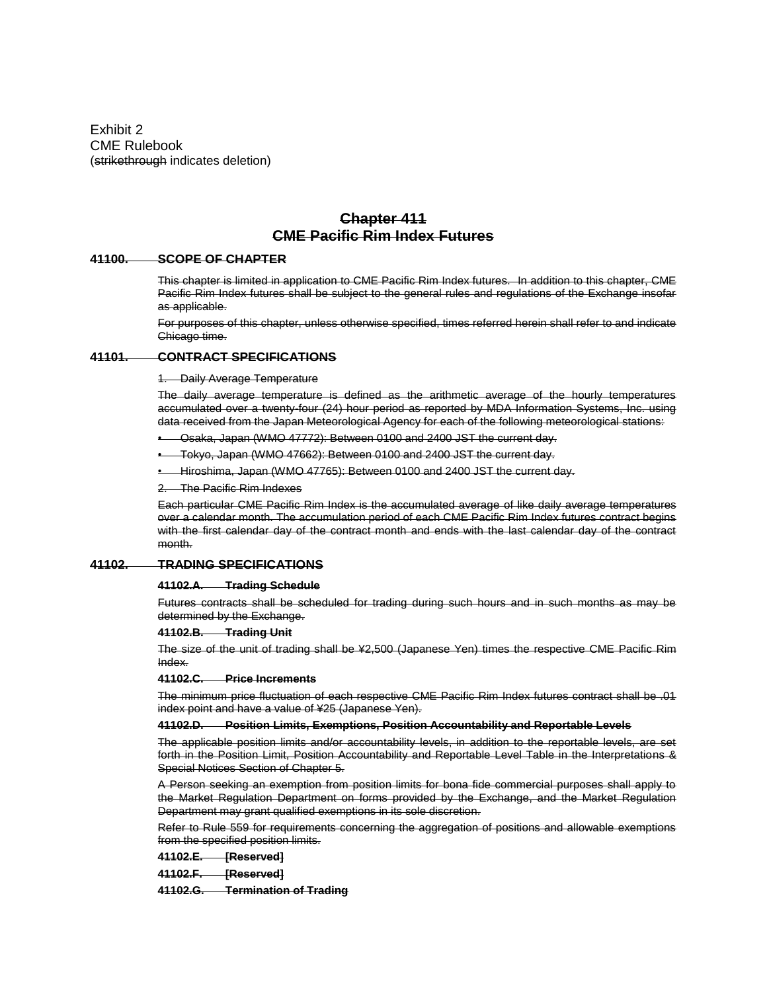Exhibit 2 CME Rulebook (strikethrough indicates deletion)

# **Chapter 411 CME Pacific Rim Index Futures**

## **41100. SCOPE OF CHAPTER**

This chapter is limited in application to CME Pacific Rim Index futures. In addition to this chapter, CME Pacific Rim Index futures shall be subject to the general rules and regulations of the Exchange insofar as applicable.

For purposes of this chapter, unless otherwise specified, times referred herein shall refer to and indicate Chicago time.

# **41101. CONTRACT SPECIFICATIONS**

1. Daily Average Temperature

The daily average temperature is defined as the arithmetic average of the hourly temperatures accumulated over a twenty-four (24) hour period as reported by MDA Information Systems, Inc. using data received from the Japan Meteorological Agency for each of the following meteorological stations:

• Osaka, Japan (WMO 47772): Between 0100 and 2400 JST the current day.

• Tokyo, Japan (WMO 47662): Between 0100 and 2400 JST the current day.

• Hiroshima, Japan (WMO 47765): Between 0100 and 2400 JST the current day.

The Pacific Rim Indexes

Each particular CME Pacific Rim Index is the accumulated average of like daily average temperatures over a calendar month. The accumulation period of each CME Pacific Rim Index futures contract begins with the first calendar day of the contract month and ends with the last calendar day of the contract month.

# **41102. TRADING SPECIFICATIONS**

### **41102.A. Trading Schedule**

Futures contracts shall be scheduled for trading during such hours and in such months as may be determined by the Exchange.

### **41102.B. Trading Unit**

The size of the unit of trading shall be ¥2,500 (Japanese Yen) times the respective CME Pacific Rim Index.

### **41102.C. Price Increments**

The minimum price fluctuation of each respective CME Pacific Rim Index futures contract shall be .01 index point and have a value of ¥25 (Japanese Yen).

### **41102.D. Position Limits, Exemptions, Position Accountability and Reportable Levels**

The applicable position limits and/or accountability levels, in addition to the reportable levels, are set forth in the Position Limit, Position Accountability and Reportable Level Table in the Interpretations & Special Notices Section of Chapter 5.

A Person seeking an exemption from position limits for bona fide commercial purposes shall apply to the Market Regulation Department on forms provided by the Exchange, and the Market Regulation Department may grant qualified exemptions in its sole discretion.

Refer to Rule 559 for requirements concerning the aggregation of positions and allowable exemptions from the specified position limits.

## **41102.E. [Reserved]**

**41102.F. [Reserved]**

**41102.G. Termination of Trading**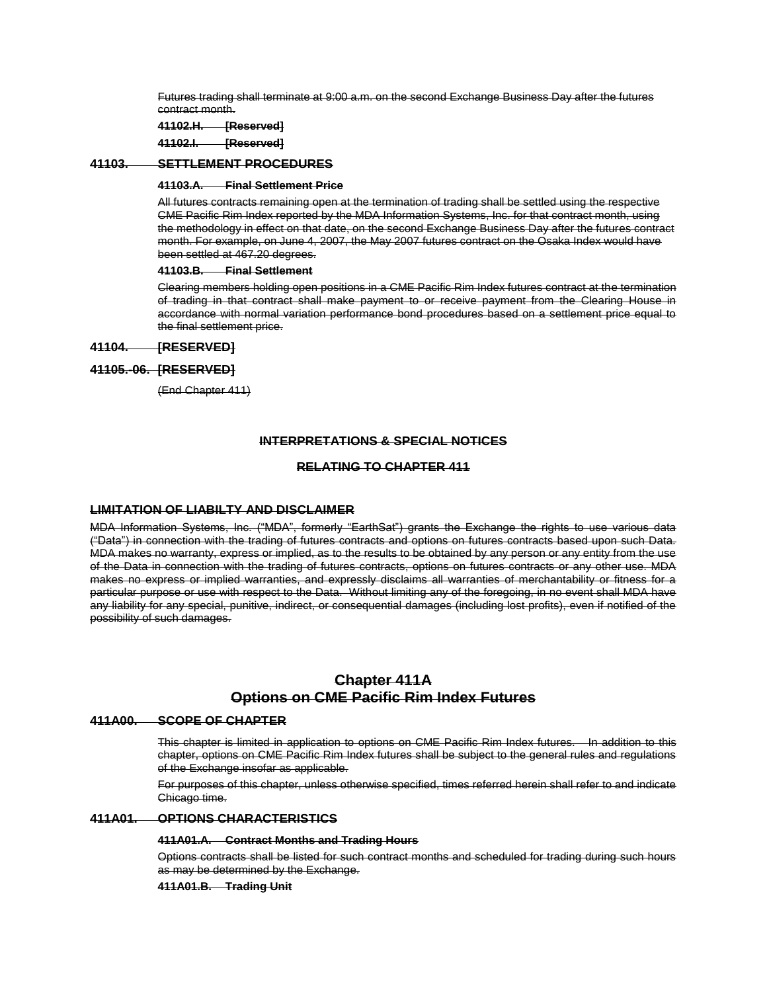Futures trading shall terminate at 9:00 a.m. on the second Exchange Business Day after the futures contract month.

**41102.H. [Reserved]**

**41102.I. [Reserved]**

# **41103. SETTLEMENT PROCEDURES**

### **41103.A. Final Settlement Price**

All futures contracts remaining open at the termination of trading shall be settled using the respective CME Pacific Rim Index reported by the MDA Information Systems, Inc. for that contract month, using the methodology in effect on that date, on the second Exchange Business Day after the futures contract month. For example, on June 4, 2007, the May 2007 futures contract on the Osaka Index would have been settled at 467.20 degrees.

# **41103.B. Final Settlement**

Clearing members holding open positions in a CME Pacific Rim Index futures contract at the termination of trading in that contract shall make payment to or receive payment from the Clearing House in accordance with normal variation performance bond procedures based on a settlement price equal to the final settlement price.

# **41104. [RESERVED]**

# **41105.-06. [RESERVED]**

(End Chapter 411)

# **INTERPRETATIONS & SPECIAL NOTICES**

# **RELATING TO CHAPTER 411**

# **LIMITATION OF LIABILTY AND DISCLAIMER**

MDA Information Systems, Inc. ("MDA", formerly "EarthSat") grants the Exchange the rights to use various data ("Data") in connection with the trading of futures contracts and options on futures contracts based upon such Data. MDA makes no warranty, express or implied, as to the results to be obtained by any person or any entity from the use of the Data in connection with the trading of futures contracts, options on futures contracts or any other use. MDA makes no express or implied warranties, and expressly disclaims all warranties of merchantability or fitness for a particular purpose or use with respect to the Data. Without limiting any of the foregoing, in no event shall MDA have any liability for any special, punitive, indirect, or consequential damages (including lost profits), even if notified of the possibility of such damages.

# **Chapter 411A Options on CME Pacific Rim Index Futures**

## **411A00. SCOPE OF CHAPTER**

This chapter is limited in application to options on CME Pacific Rim Index futures. In addition to this chapter, options on CME Pacific Rim Index futures shall be subject to the general rules and regulations of the Exchange insofar as applicable.

For purposes of this chapter, unless otherwise specified, times referred herein shall refer to and indicate Chicago time.

# **411A01. OPTIONS CHARACTERISTICS**

### **411A01.A. Contract Months and Trading Hours**

Options contracts shall be listed for such contract months and scheduled for trading during such hours as may be determined by the Exchange.

**411A01.B. Trading Unit**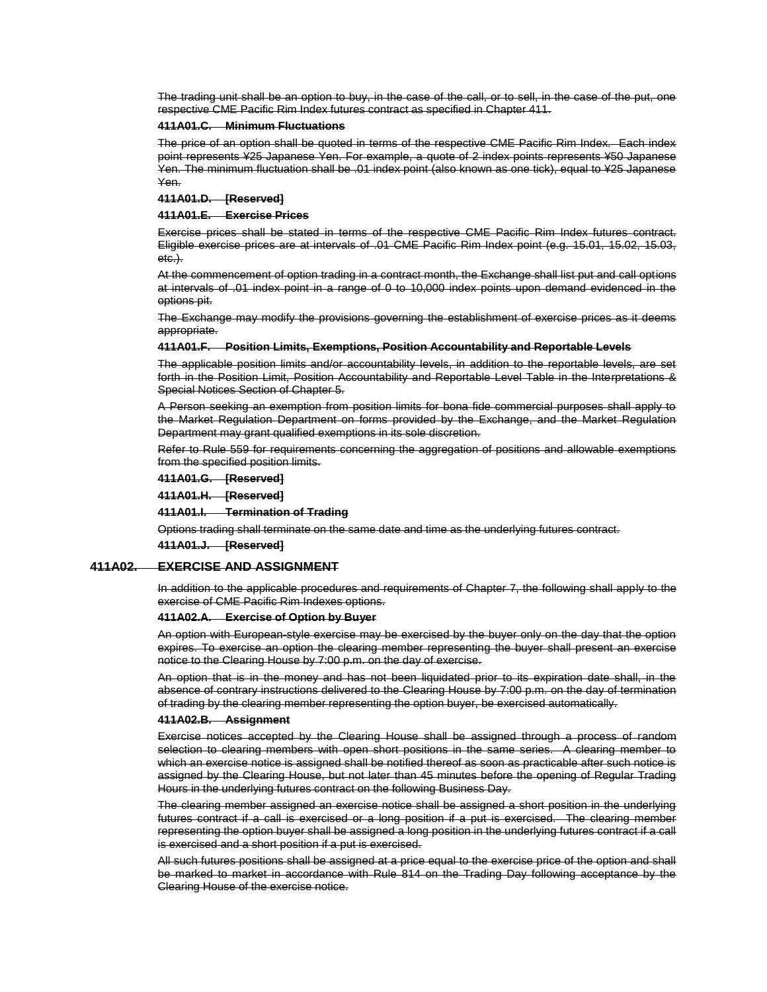The trading unit shall be an option to buy, in the case of the call, or to sell, in the case of the put, one respective CME Pacific Rim Index futures contract as specified in Chapter 411.

### **411A01.C. Minimum Fluctuations**

The price of an option shall be quoted in terms of the respective CME Pacific Rim Index. Each index point represents ¥25 Japanese Yen. For example, a quote of 2 index points represents ¥50 Japanese Yen. The minimum fluctuation shall be .01 index point (also known as one tick), equal to ¥25 Japanese Yen.

### **411A01.D. [Reserved]**

#### **411A01.E. Exercise Prices**

Exercise prices shall be stated in terms of the respective CME Pacific Rim Index futures contract. Eligible exercise prices are at intervals of .01 CME Pacific Rim Index point (e.g. 15.01, 15.02, 15.03, etc.).

At the commencement of option trading in a contract month, the Exchange shall list put and call options at intervals of .01 index point in a range of 0 to 10,000 index points upon demand evidenced in the options pit.

The Exchange may modify the provisions governing the establishment of exercise prices as it deems appropriate.

### **411A01.F. Position Limits, Exemptions, Position Accountability and Reportable Levels**

The applicable position limits and/or accountability levels, in addition to the reportable levels, are set forth in the Position Limit, Position Accountability and Reportable Level Table in the Interpretations & Special Notices Section of Chapter 5.

A Person seeking an exemption from position limits for bona fide commercial purposes shall apply to the Market Regulation Department on forms provided by the Exchange, and the Market Regulation Department may grant qualified exemptions in its sole discretion.

Refer to Rule 559 for requirements concerning the aggregation of positions and allowable exemptions from the specified position limits.

**411A01.G. [Reserved]**

**411A01.H. [Reserved]**

#### **411A01.I. Termination of Trading**

Options trading shall terminate on the same date and time as the underlying futures contract.

**411A01.J. [Reserved]**

### **411A02. EXERCISE AND ASSIGNMENT**

In addition to the applicable procedures and requirements of Chapter 7, the following shall apply to the exercise of CME Pacific Rim Indexes options.

### **411A02.A. Exercise of Option by Buyer**

An option with European-style exercise may be exercised by the buyer only on the day that the option expires. To exercise an option the clearing member representing the buyer shall present an exercise notice to the Clearing House by 7:00 p.m. on the day of exercise.

An option that is in the money and has not been liquidated prior to its expiration date shall, in the absence of contrary instructions delivered to the Clearing House by 7:00 p.m. on the day of termination of trading by the clearing member representing the option buyer, be exercised automatically.

#### **411A02.B. Assignment**

Exercise notices accepted by the Clearing House shall be assigned through a process of random selection to clearing members with open short positions in the same series. A clearing member to which an exercise notice is assigned shall be notified thereof as soon as practicable after such notice is assigned by the Clearing House, but not later than 45 minutes before the opening of Regular Trading Hours in the underlying futures contract on the following Business Day.

The clearing member assigned an exercise notice shall be assigned a short position in the underlying futures contract if a call is exercised or a long position if a put is exercised. The clearing member representing the option buyer shall be assigned a long position in the underlying futures contract if a call is exercised and a short position if a put is exercised.

All such futures positions shall be assigned at a price equal to the exercise price of the option and shall be marked to market in accordance with Rule 814 on the Trading Day following acceptance by the Clearing House of the exercise notice.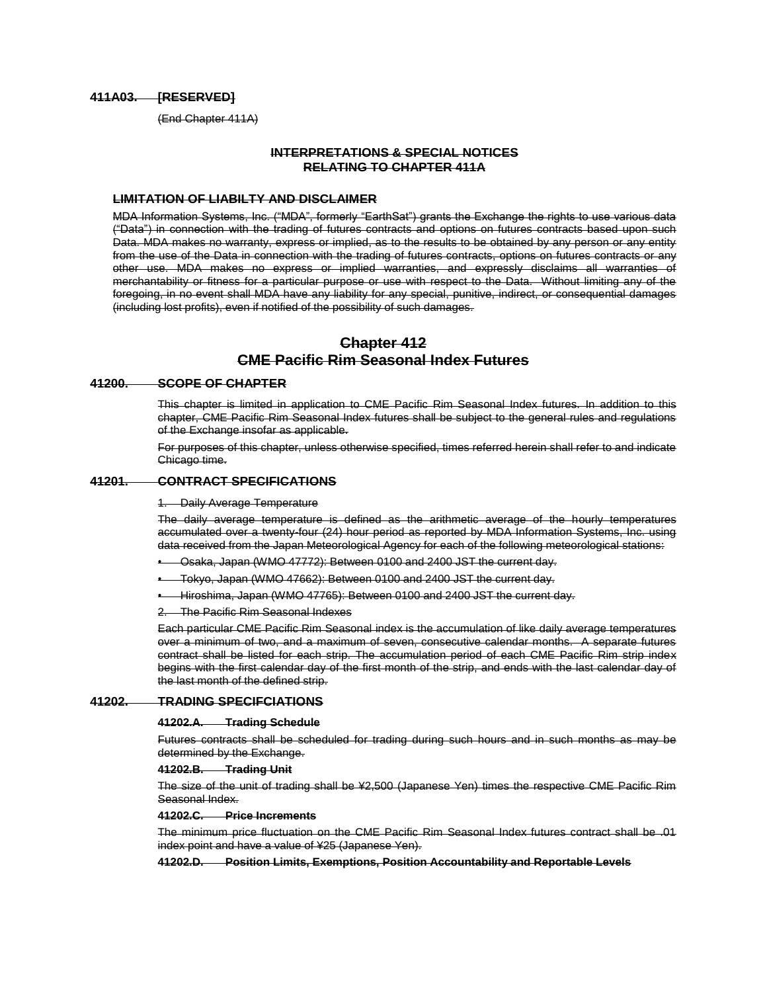# **411A03. [RESERVED]**

(End Chapter 411A)

# **INTERPRETATIONS & SPECIAL NOTICES RELATING TO CHAPTER 411A**

### **LIMITATION OF LIABILTY AND DISCLAIMER**

MDA Information Systems, Inc. ("MDA", formerly "EarthSat") grants the Exchange the rights to use various data ("Data") in connection with the trading of futures contracts and options on futures contracts based upon such Data. MDA makes no warranty, express or implied, as to the results to be obtained by any person or any entity from the use of the Data in connection with the trading of futures contracts, options on futures contracts or any other use. MDA makes no express or implied warranties, and expressly disclaims all warranties of merchantability or fitness for a particular purpose or use with respect to the Data. Without limiting any of the foregoing, in no event shall MDA have any liability for any special, punitive, indirect, or consequential damages (including lost profits), even if notified of the possibility of such damages.

# **Chapter 412 CME Pacific Rim Seasonal Index Futures**

### **41200. SCOPE OF CHAPTER**

This chapter is limited in application to CME Pacific Rim Seasonal Index futures. In addition to this chapter, CME Pacific Rim Seasonal Index futures shall be subject to the general rules and regulations of the Exchange insofar as applicable.

For purposes of this chapter, unless otherwise specified, times referred herein shall refer to and indicate Chicago time.

# **41201. CONTRACT SPECIFICATIONS**

### **Daily Average Temperature**

The daily average temperature is defined as the arithmetic average of the hourly temperatures accumulated over a twenty-four (24) hour period as reported by MDA Information Systems, Inc. using data received from the Japan Meteorological Agency for each of the following meteorological stations:

• Osaka, Japan (WMO 47772): Between 0100 and 2400 JST the current day.

- Tokyo, Japan (WMO 47662): Between 0100 and 2400 JST the current day.
- Hiroshima, Japan (WMO 47765): Between 0100 and 2400 JST the current day.

2. The Pacific Rim Seasonal Indexes

Each particular CME Pacific Rim Seasonal index is the accumulation of like daily average temperatures over a minimum of two, and a maximum of seven, consecutive calendar months. A separate futures contract shall be listed for each strip. The accumulation period of each CME Pacific Rim strip index begins with the first calendar day of the first month of the strip, and ends with the last calendar day of the last month of the defined strip.

# **41202. TRADING SPECIFCIATIONS**

#### **41202.A. Trading Schedule**

Futures contracts shall be scheduled for trading during such hours and in such months as may be determined by the Exchange.

**41202.B. Trading Unit**

The size of the unit of trading shall be ¥2,500 (Japanese Yen) times the respective CME Pacific Rim Seasonal Index.

#### **41202.C. Price Increments**

The minimum price fluctuation on the CME Pacific Rim Seasonal Index futures contract shall be .01 index point and have a value of ¥25 (Japanese Yen).

**41202.D. Position Limits, Exemptions, Position Accountability and Reportable Levels**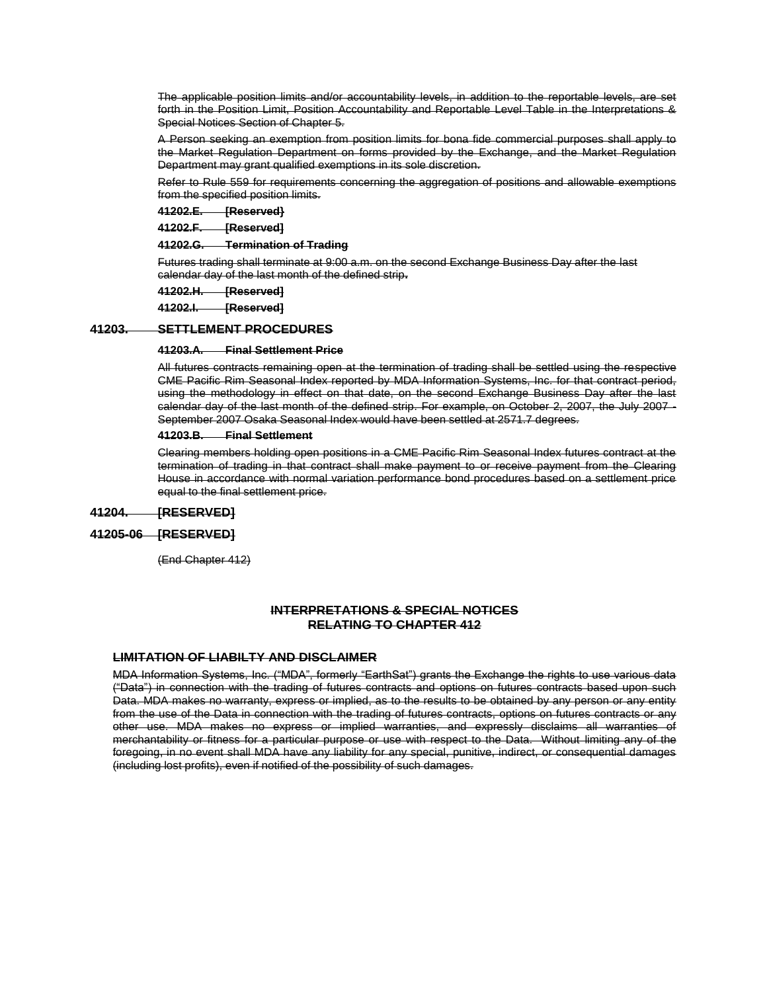The applicable position limits and/or accountability levels, in addition to the reportable levels, are set forth in the Position Limit, Position Accountability and Reportable Level Table in the Interpretations & Special Notices Section of Chapter 5.

A Person seeking an exemption from position limits for bona fide commercial purposes shall apply to the Market Regulation Department on forms provided by the Exchange, and the Market Regulation Department may grant qualified exemptions in its sole discretion.

Refer to Rule 559 for requirements concerning the aggregation of positions and allowable exemptions from the specified position limits.

**41202.E. [Reserved}**

**41202.F. [Reserved]**

**41202.G. Termination of Trading**

Futures trading shall terminate at 9:00 a.m. on the second Exchange Business Day after the last calendar day of the last month of the defined strip**.**

**41202.H. [Reserved]**

**41202.I. [Reserved]**

## **41203. SETTLEMENT PROCEDURES**

### **41203.A. Final Settlement Price**

All futures contracts remaining open at the termination of trading shall be settled using the respective CME Pacific Rim Seasonal Index reported by MDA Information Systems, Inc. for that contract period, using the methodology in effect on that date, on the second Exchange Business Day after the last calendar day of the last month of the defined strip. For example, on October 2, 2007, the July 2007 -September 2007 Osaka Seasonal Index would have been settled at 2571.7 degrees.

### **41203.B. Final Settlement**

Clearing members holding open positions in a CME Pacific Rim Seasonal Index futures contract at the termination of trading in that contract shall make payment to or receive payment from the Clearing House in accordance with normal variation performance bond procedures based on a settlement price equal to the final settlement price.

# **41204. [RESERVED]**

# **41205-06 [RESERVED]**

(End Chapter 412)

# **INTERPRETATIONS & SPECIAL NOTICES RELATING TO CHAPTER 412**

# **LIMITATION OF LIABILTY AND DISCLAIMER**

MDA Information Systems, Inc. ("MDA", formerly "EarthSat") grants the Exchange the rights to use various data ("Data") in connection with the trading of futures contracts and options on futures contracts based upon such Data. MDA makes no warranty, express or implied, as to the results to be obtained by any person or any entity from the use of the Data in connection with the trading of futures contracts, options on futures contracts or any other use. MDA makes no express or implied warranties, and expressly disclaims all warranties of merchantability or fitness for a particular purpose or use with respect to the Data. Without limiting any of the foregoing, in no event shall MDA have any liability for any special, punitive, indirect, or consequential damages (including lost profits), even if notified of the possibility of such damages.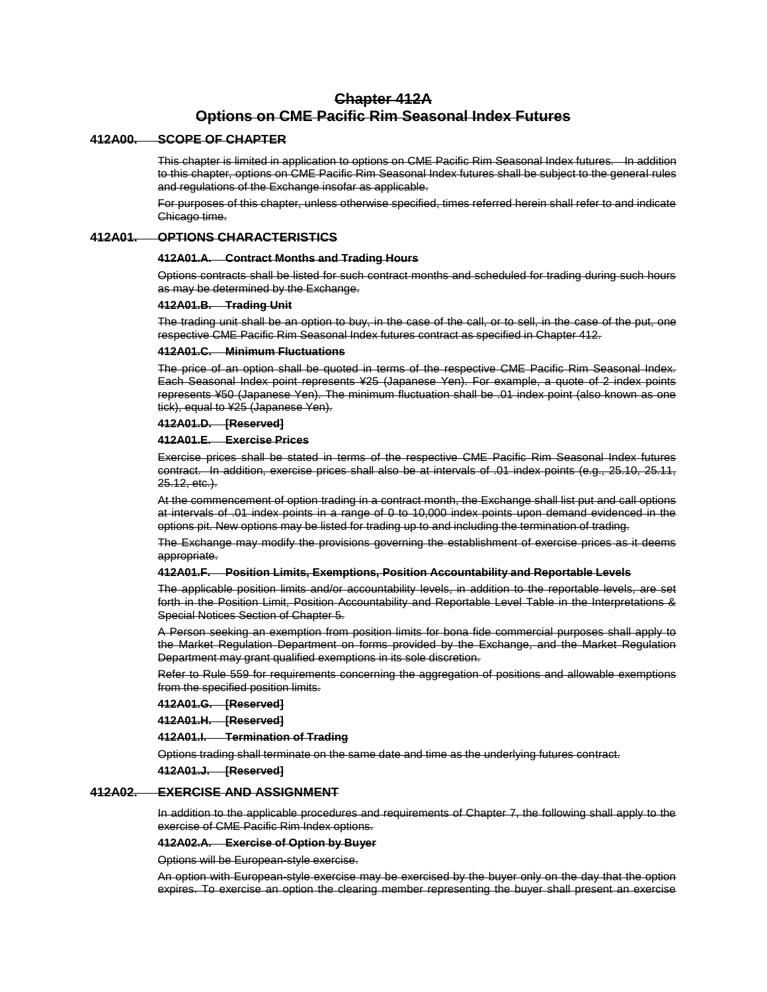# **Chapter 412A Options on CME Pacific Rim Seasonal Index Futures**

## **412A00. SCOPE OF CHAPTER**

This chapter is limited in application to options on CME Pacific Rim Seasonal Index futures. In addition to this chapter, options on CME Pacific Rim Seasonal Index futures shall be subject to the general rules and regulations of the Exchange insofar as applicable.

For purposes of this chapter, unless otherwise specified, times referred herein shall refer to and indicate Chicago time.

# **412A01. OPTIONS CHARACTERISTICS**

### **412A01.A. Contract Months and Trading Hours**

Options contracts shall be listed for such contract months and scheduled for trading during such hours as may be determined by the Exchange.

### **412A01.B. Trading Unit**

The trading unit shall be an option to buy, in the case of the call, or to sell, in the case of the put, one respective CME Pacific Rim Seasonal Index futures contract as specified in Chapter 412.

# **412A01.C. Minimum Fluctuations**

The price of an option shall be quoted in terms of the respective CME Pacific Rim Seasonal Index. Each Seasonal Index point represents ¥25 (Japanese Yen). For example, a quote of 2 index points represents ¥50 (Japanese Yen). The minimum fluctuation shall be .01 index point (also known as one tick), equal to ¥25 (Japanese Yen).

# **412A01.D. [Reserved]**

### **412A01.E. Exercise Prices**

Exercise prices shall be stated in terms of the respective CME Pacific Rim Seasonal Index futures contract. In addition, exercise prices shall also be at intervals of .01 index points (e.g., 25.10, 25.11, 25.12, etc.).

At the commencement of option trading in a contract month, the Exchange shall list put and call options at intervals of .01 index points in a range of 0 to 10,000 index points upon demand evidenced in the options pit. New options may be listed for trading up to and including the termination of trading.

The Exchange may modify the provisions governing the establishment of exercise prices as it deems appropriate.

### **412A01.F. Position Limits, Exemptions, Position Accountability and Reportable Levels**

The applicable position limits and/or accountability levels, in addition to the reportable levels, are set forth in the Position Limit, Position Accountability and Reportable Level Table in the Interpretations & Special Notices Section of Chapter 5.

A Person seeking an exemption from position limits for bona fide commercial purposes shall apply to the Market Regulation Department on forms provided by the Exchange, and the Market Regulation Department may grant qualified exemptions in its sole discretion.

Refer to Rule 559 for requirements concerning the aggregation of positions and allowable exemptions from the specified position limits.

**412A01.G. [Reserved]**

**412A01.H. [Reserved]**

**412A01.I. Termination of Trading**

Options trading shall terminate on the same date and time as the underlying futures contract.

**412A01.J. [Reserved]**

# **412A02. EXERCISE AND ASSIGNMENT**

In addition to the applicable procedures and requirements of Chapter 7, the following shall apply to the exercise of CME Pacific Rim Index options.

#### **412A02.A. Exercise of Option by Buyer**

Options will be European-style exercise.

An option with European-style exercise may be exercised by the buyer only on the day that the option expires. To exercise an option the clearing member representing the buyer shall present an exercise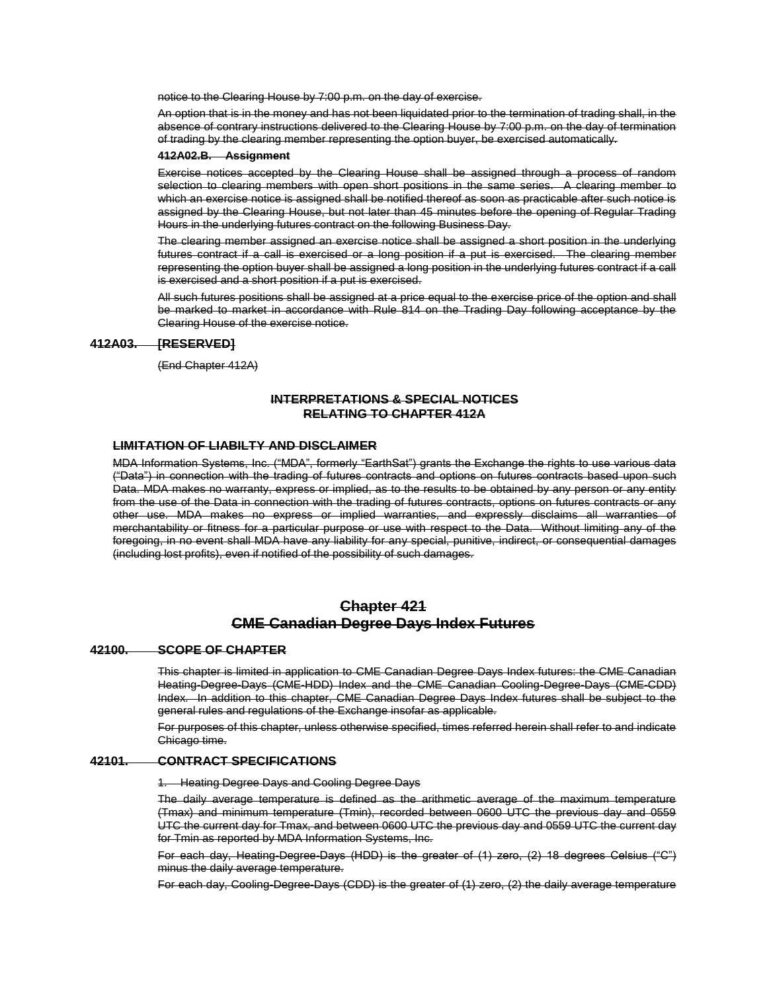notice to the Clearing House by 7:00 p.m. on the day of exercise.

An option that is in the money and has not been liquidated prior to the termination of trading shall, in the absence of contrary instructions delivered to the Clearing House by 7:00 p.m. on the day of termination of trading by the clearing member representing the option buyer, be exercised automatically.

#### **412A02.B. Assignment**

Exercise notices accepted by the Clearing House shall be assigned through a process of random selection to clearing members with open short positions in the same series. A clearing member to which an exercise notice is assigned shall be notified thereof as soon as practicable after such notice is assigned by the Clearing House, but not later than 45 minutes before the opening of Regular Trading Hours in the underlying futures contract on the following Business Day.

The clearing member assigned an exercise notice shall be assigned a short position in the underlying futures contract if a call is exercised or a long position if a put is exercised. The clearing member representing the option buyer shall be assigned a long position in the underlying futures contract if a call is exercised and a short position if a put is exercised.

All such futures positions shall be assigned at a price equal to the exercise price of the option and shall be marked to market in accordance with Rule 814 on the Trading Day following acceptance by the Clearing House of the exercise notice.

# **412A03. [RESERVED]**

(End Chapter 412A)

# **INTERPRETATIONS & SPECIAL NOTICES RELATING TO CHAPTER 412A**

# **LIMITATION OF LIABILTY AND DISCLAIMER**

MDA Information Systems, Inc. ("MDA", formerly "EarthSat") grants the Exchange the rights to use various data ("Data") in connection with the trading of futures contracts and options on futures contracts based upon such Data. MDA makes no warranty, express or implied, as to the results to be obtained by any person or any entity from the use of the Data in connection with the trading of futures contracts, options on futures contracts or any other use. MDA makes no express or implied warranties, and expressly disclaims all warranties of merchantability or fitness for a particular purpose or use with respect to the Data. Without limiting any of the foregoing, in no event shall MDA have any liability for any special, punitive, indirect, or consequential damages (including lost profits), even if notified of the possibility of such damages.

# **Chapter 421 CME Canadian Degree Days Index Futures**

# **42100. SCOPE OF CHAPTER**

This chapter is limited in application to CME Canadian Degree Days Index futures: the CME Canadian Heating-Degree-Days (CME-HDD) Index and the CME Canadian Cooling-Degree-Days (CME-CDD) Index. In addition to this chapter, CME Canadian Degree Days Index futures shall be subject to the general rules and regulations of the Exchange insofar as applicable.

For purposes of this chapter, unless otherwise specified, times referred herein shall refer to and indicate Chicago time.

# **42101. CONTRACT SPECIFICATIONS**

1. Heating Degree Days and Cooling Degree Days

The daily average temperature is defined as the arithmetic average of the maximum temperature (Tmax) and minimum temperature (Tmin), recorded between 0600 UTC the previous day and 0559 UTC the current day for Tmax, and between 0600 UTC the previous day and 0559 UTC the current day for Tmin as reported by MDA Information Systems, Inc.

For each day, Heating-Degree-Days (HDD) is the greater of (1) zero, (2) 18 degrees Celsius ("C") minus the daily average temperature.

For each day, Cooling-Degree-Days (CDD) is the greater of (1) zero, (2) the daily average temperature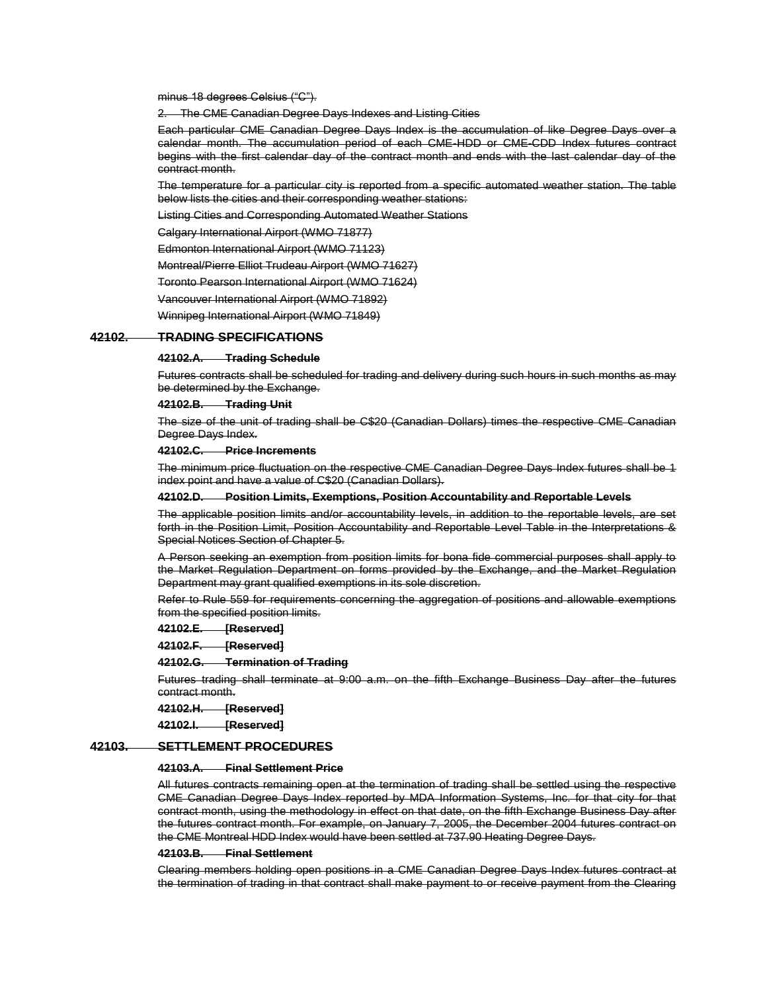minus 18 degrees Celsius ("C").

2. The CME Canadian Degree Days Indexes and Listing Cities

Each particular CME Canadian Degree Days Index is the accumulation of like Degree Days over a calendar month. The accumulation period of each CME-HDD or CME-CDD Index futures contract begins with the first calendar day of the contract month and ends with the last calendar day of the contract month.

The temperature for a particular city is reported from a specific automated weather station. The table below lists the cities and their corresponding weather stations:

Listing Cities and Corresponding Automated Weather Stations

Calgary International Airport (WMO 71877)

Edmonton International Airport (WMO 71123)

Montreal/Pierre Elliot Trudeau Airport (WMO 71627)

Toronto Pearson International Airport (WMO 71624)

Vancouver International Airport (WMO 71892)

Winnipeg International Airport (WMO 71849)

# **42102. TRADING SPECIFICATIONS**

### **42102.A. Trading Schedule**

Futures contracts shall be scheduled for trading and delivery during such hours in such months as may be determined by the Exchange.

### **42102.B. Trading Unit**

The size of the unit of trading shall be C\$20 (Canadian Dollars) times the respective CME Canadian Degree Days Index.

### **42102.C. Price Increments**

The minimum price fluctuation on the respective CME Canadian Degree Days Index futures shall be 1 index point and have a value of C\$20 (Canadian Dollars).

#### **42102.D. Position Limits, Exemptions, Position Accountability and Reportable Levels**

The applicable position limits and/or accountability levels, in addition to the reportable levels, are set forth in the Position Limit, Position Accountability and Reportable Level Table in the Interpretations & Special Notices Section of Chapter 5.

A Person seeking an exemption from position limits for bona fide commercial purposes shall apply to the Market Regulation Department on forms provided by the Exchange, and the Market Regulation Department may grant qualified exemptions in its sole discretion.

Refer to Rule 559 for requirements concerning the aggregation of positions and allowable exemptions from the specified position limits.

**42102.E. [Reserved]**

**42102.F. [Reserved]**

### **42102.G. Termination of Trading**

Futures trading shall terminate at 9:00 a.m. on the fifth Exchange Business Day after the futures contract month.

**42102.H. [Reserved]**

**42102.I. [Reserved]**

## **42103. SETTLEMENT PROCEDURES**

#### **42103.A. Final Settlement Price**

All futures contracts remaining open at the termination of trading shall be settled using the respective CME Canadian Degree Days Index reported by MDA Information Systems, Inc. for that city for that contract month, using the methodology in effect on that date, on the fifth Exchange Business Day after the futures contract month. For example, on January 7, 2005, the December 2004 futures contract on the CME Montreal HDD Index would have been settled at 737.90 Heating Degree Days.

### **42103.B. Final Settlement**

Clearing members holding open positions in a CME Canadian Degree Days Index futures contract at the termination of trading in that contract shall make payment to or receive payment from the Clearing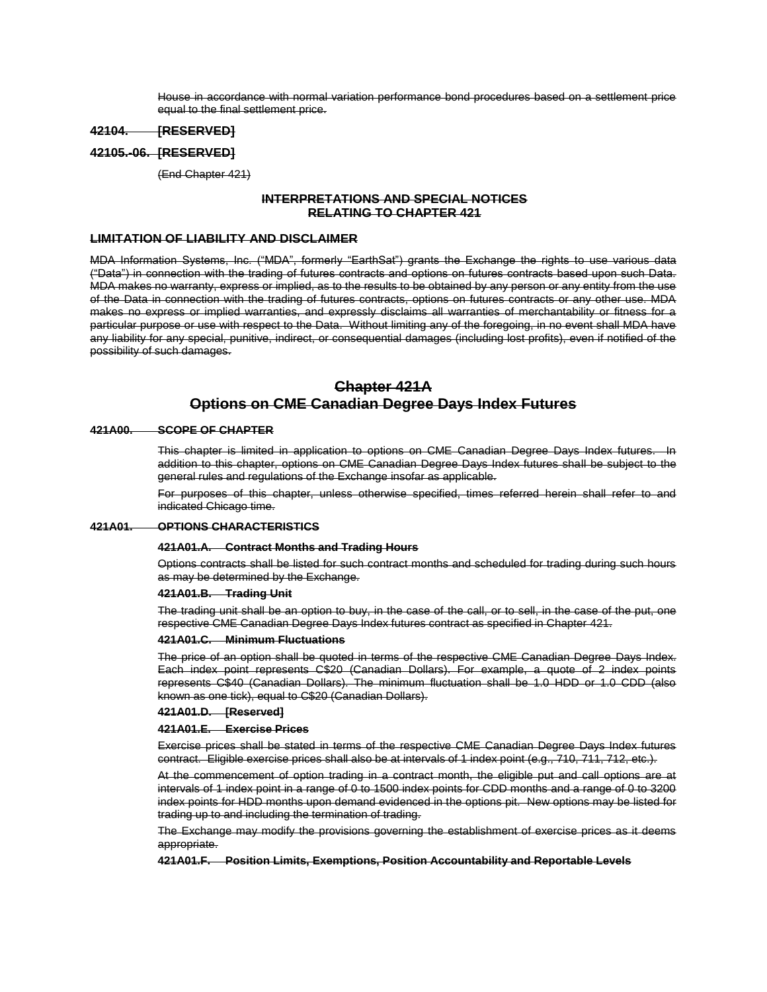House in accordance with normal variation performance bond procedures based on a settlement price equal to the final settlement price.

# **42104. [RESERVED]**

# **42105.-06. [RESERVED]**

(End Chapter 421)

# **INTERPRETATIONS AND SPECIAL NOTICES RELATING TO CHAPTER 421**

# **LIMITATION OF LIABILITY AND DISCLAIMER**

MDA Information Systems, Inc. ("MDA", formerly "EarthSat") grants the Exchange the rights to use various data ("Data") in connection with the trading of futures contracts and options on futures contracts based upon such Data. MDA makes no warranty, express or implied, as to the results to be obtained by any person or any entity from the use of the Data in connection with the trading of futures contracts, options on futures contracts or any other use. MDA makes no express or implied warranties, and expressly disclaims all warranties of merchantability or fitness for a particular purpose or use with respect to the Data. Without limiting any of the foregoing, in no event shall MDA have any liability for any special, punitive, indirect, or consequential damages (including lost profits), even if notified of the possibility of such damages.

# **Chapter 421A Options on CME Canadian Degree Days Index Futures**

### **421A00. SCOPE OF CHAPTER**

This chapter is limited in application to options on CME Canadian Degree Days Index futures. In addition to this chapter, options on CME Canadian Degree Days Index futures shall be subject to the general rules and regulations of the Exchange insofar as applicable.

For purposes of this chapter, unless otherwise specified, times referred herein shall refer to and indicated Chicago time.

### **421A01. OPTIONS CHARACTERISTICS**

# **421A01.A. Contract Months and Trading Hours**

Options contracts shall be listed for such contract months and scheduled for trading during such hours as may be determined by the Exchange.

# **421A01.B. Trading Unit**

The trading unit shall be an option to buy, in the case of the call, or to sell, in the case of the put, one respective CME Canadian Degree Days Index futures contract as specified in Chapter 421.

# **421A01.C. Minimum Fluctuations**

The price of an option shall be quoted in terms of the respective CME Canadian Degree Days Index. Each index point represents C\$20 (Canadian Dollars). For example, a quote of 2 index points represents C\$40 (Canadian Dollars). The minimum fluctuation shall be 1.0 HDD or 1.0 CDD (also known as one tick), equal to C\$20 (Canadian Dollars).

### **421A01.D. [Reserved]**

### **421A01.E. Exercise Prices**

Exercise prices shall be stated in terms of the respective CME Canadian Degree Days Index futures contract. Eligible exercise prices shall also be at intervals of 1 index point (e.g., 710, 711, 712, etc.).

At the commencement of option trading in a contract month, the eligible put and call options are at intervals of 1 index point in a range of 0 to 1500 index points for CDD months and a range of 0 to 3200 index points for HDD months upon demand evidenced in the options pit. New options may be listed for trading up to and including the termination of trading.

The Exchange may modify the provisions governing the establishment of exercise prices as it deems appropriate.

**421A01.F. Position Limits, Exemptions, Position Accountability and Reportable Levels**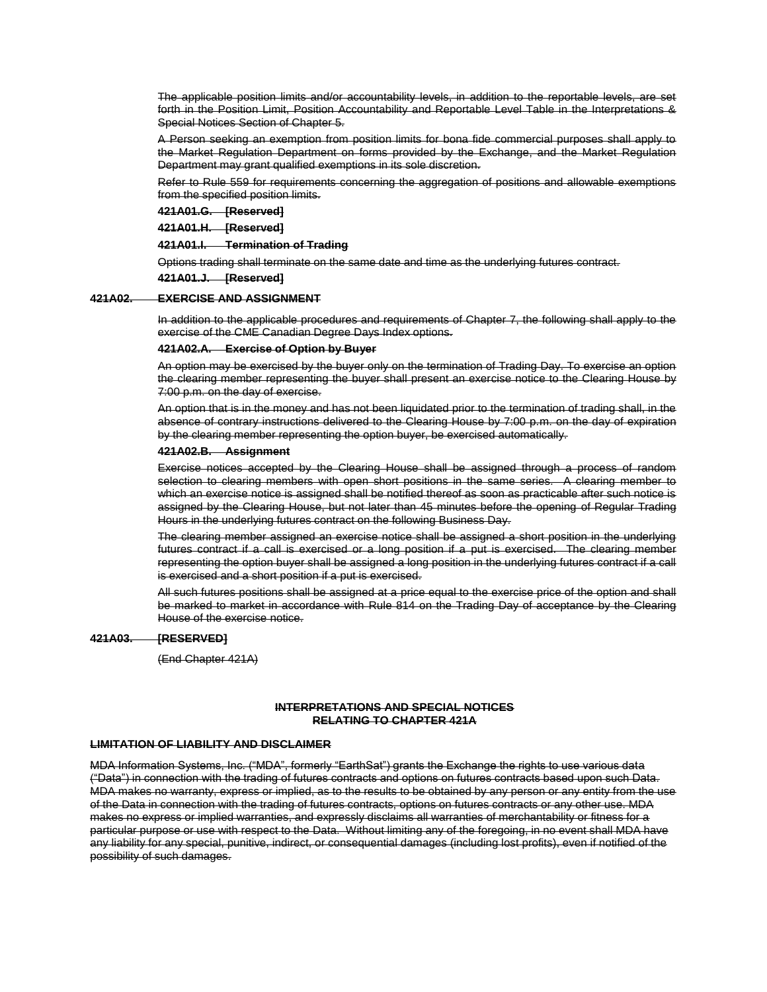The applicable position limits and/or accountability levels, in addition to the reportable levels, are set forth in the Position Limit, Position Accountability and Reportable Level Table in the Interpretations & Special Notices Section of Chapter 5.

A Person seeking an exemption from position limits for bona fide commercial purposes shall apply to the Market Regulation Department on forms provided by the Exchange, and the Market Regulation Department may grant qualified exemptions in its sole discretion.

Refer to Rule 559 for requirements concerning the aggregation of positions and allowable exemptions from the specified position limits.

**421A01.G. [Reserved]**

**421A01.H. [Reserved]**

**421A01.I. Termination of Trading**

Options trading shall terminate on the same date and time as the underlying futures contract.

**421A01.J. [Reserved]**

## **421A02. EXERCISE AND ASSIGNMENT**

In addition to the applicable procedures and requirements of Chapter 7, the following shall apply to the exercise of the CME Canadian Degree Days Index options.

### **421A02.A. Exercise of Option by Buyer**

An option may be exercised by the buyer only on the termination of Trading Day. To exercise an option the clearing member representing the buyer shall present an exercise notice to the Clearing House by 7:00 p.m. on the day of exercise.

An option that is in the money and has not been liquidated prior to the termination of trading shall, in the absence of contrary instructions delivered to the Clearing House by 7:00 p.m. on the day of expiration by the clearing member representing the option buyer, be exercised automatically.

### **421A02.B. Assignment**

Exercise notices accepted by the Clearing House shall be assigned through a process of random selection to clearing members with open short positions in the same series. A clearing member to which an exercise notice is assigned shall be notified thereof as soon as practicable after such notice is assigned by the Clearing House, but not later than 45 minutes before the opening of Regular Trading Hours in the underlying futures contract on the following Business Day.

The clearing member assigned an exercise notice shall be assigned a short position in the underlying futures contract if a call is exercised or a long position if a put is exercised. The clearing member representing the option buyer shall be assigned a long position in the underlying futures contract if a call is exercised and a short position if a put is exercised.

All such futures positions shall be assigned at a price equal to the exercise price of the option and shall be marked to market in accordance with [Rule 814](http://rulebook.cme.com/rulebook11087.html#BM_814#BM_814) on the Trading Day of acceptance by the Clearing House of the exercise notice.

## **421A03. [RESERVED]**

(End Chapter 421A)

## **INTERPRETATIONS AND SPECIAL NOTICES RELATING TO CHAPTER 421A**

### **LIMITATION OF LIABILITY AND DISCLAIMER**

MDA Information Systems, Inc. ("MDA", formerly "EarthSat") grants the Exchange the rights to use various data ("Data") in connection with the trading of futures contracts and options on futures contracts based upon such Data. MDA makes no warranty, express or implied, as to the results to be obtained by any person or any entity from the use of the Data in connection with the trading of futures contracts, options on futures contracts or any other use. MDA makes no express or implied warranties, and expressly disclaims all warranties of merchantability or fitness for a particular purpose or use with respect to the Data. Without limiting any of the foregoing, in no event shall MDA have any liability for any special, punitive, indirect, or consequential damages (including lost profits), even if notified of the possibility of such damages.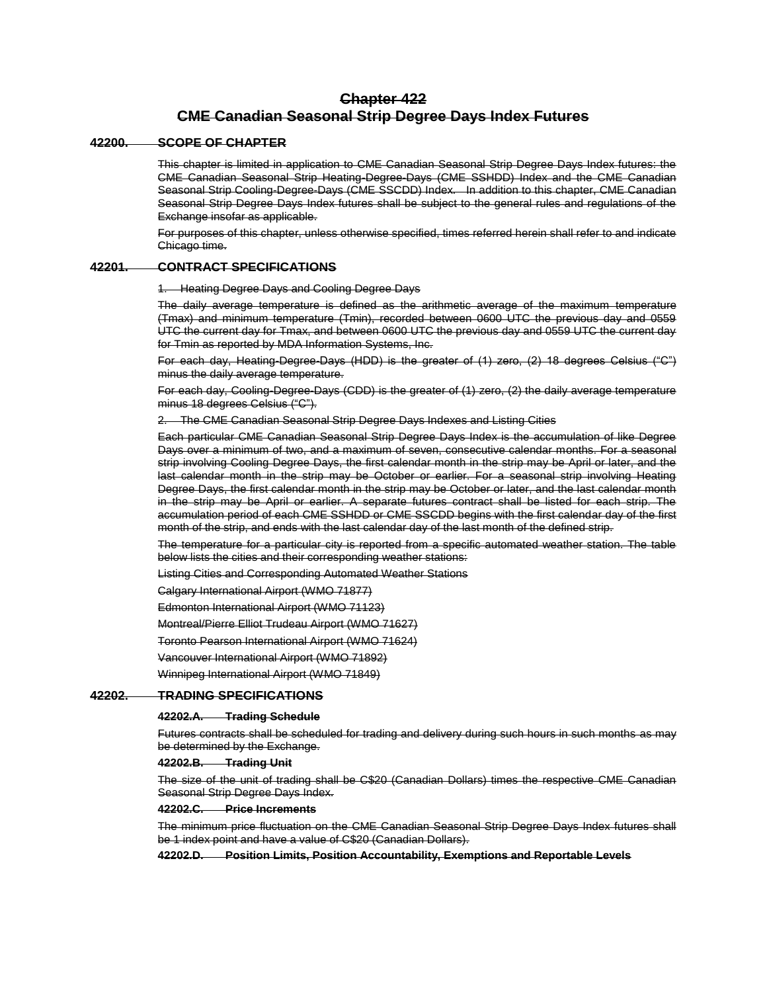# **Chapter 422 CME Canadian Seasonal Strip Degree Days Index Futures**

# **42200. SCOPE OF CHAPTER**

This chapter is limited in application to CME Canadian Seasonal Strip Degree Days Index futures: the CME Canadian Seasonal Strip Heating-Degree-Days (CME SSHDD) Index and the CME Canadian Seasonal Strip Cooling-Degree-Days (CME SSCDD) Index. In addition to this chapter, CME Canadian Seasonal Strip Degree Days Index futures shall be subject to the general rules and regulations of the Exchange insofar as applicable.

For purposes of this chapter, unless otherwise specified, times referred herein shall refer to and indicate Chicago time.

# **42201. CONTRACT SPECIFICATIONS**

**Heating Degree Days and Cooling Degree Days** 

The daily average temperature is defined as the arithmetic average of the maximum temperature (Tmax) and minimum temperature (Tmin), recorded between 0600 UTC the previous day and 0559 UTC the current day for Tmax, and between 0600 UTC the previous day and 0559 UTC the current day for Tmin as reported by MDA Information Systems, Inc.

For each day, Heating-Degree-Days (HDD) is the greater of (1) zero, (2) 18 degrees Celsius ("C") minus the daily average temperature.

For each day, Cooling-Degree-Days (CDD) is the greater of (1) zero, (2) the daily average temperature minus 18 degrees Celsius ("C").

2. The CME Canadian Seasonal Strip Degree Days Indexes and Listing Cities

Each particular CME Canadian Seasonal Strip Degree Days Index is the accumulation of like Degree Days over a minimum of two, and a maximum of seven, consecutive calendar months. For a seasonal strip involving Cooling Degree Days, the first calendar month in the strip may be April or later, and the last calendar month in the strip may be October or earlier. For a seasonal strip involving Heating Degree Days, the first calendar month in the strip may be October or later, and the last calendar month in the strip may be April or earlier. A separate futures contract shall be listed for each strip. The accumulation period of each CME SSHDD or CME SSCDD begins with the first calendar day of the first month of the strip, and ends with the last calendar day of the last month of the defined strip.

The temperature for a particular city is reported from a specific automated weather station. The table below lists the cities and their corresponding weather stations:

Listing Cities and Corresponding Automated Weather Stations

Calgary International Airport (WMO 71877)

Edmonton International Airport (WMO 71123)

Montreal/Pierre Elliot Trudeau Airport (WMO 71627)

Toronto Pearson International Airport (WMO 71624)

Vancouver International Airport (WMO 71892)

Winnipeg International Airport (WMO 71849)

# **42202. TRADING SPECIFICATIONS**

### **42202.A. Trading Schedule**

Futures contracts shall be scheduled for trading and delivery during such hours in such months as may be determined by the Exchange.

# **42202.B. Trading Unit**

The size of the unit of trading shall be C\$20 (Canadian Dollars) times the respective CME Canadian Seasonal Strip Degree Days Index.

### **42202.C. Price Increments**

The minimum price fluctuation on the CME Canadian Seasonal Strip Degree Days Index futures shall be 1 index point and have a value of C\$20 (Canadian Dollars).

**42202.D. Position Limits, Position Accountability, Exemptions and Reportable Levels**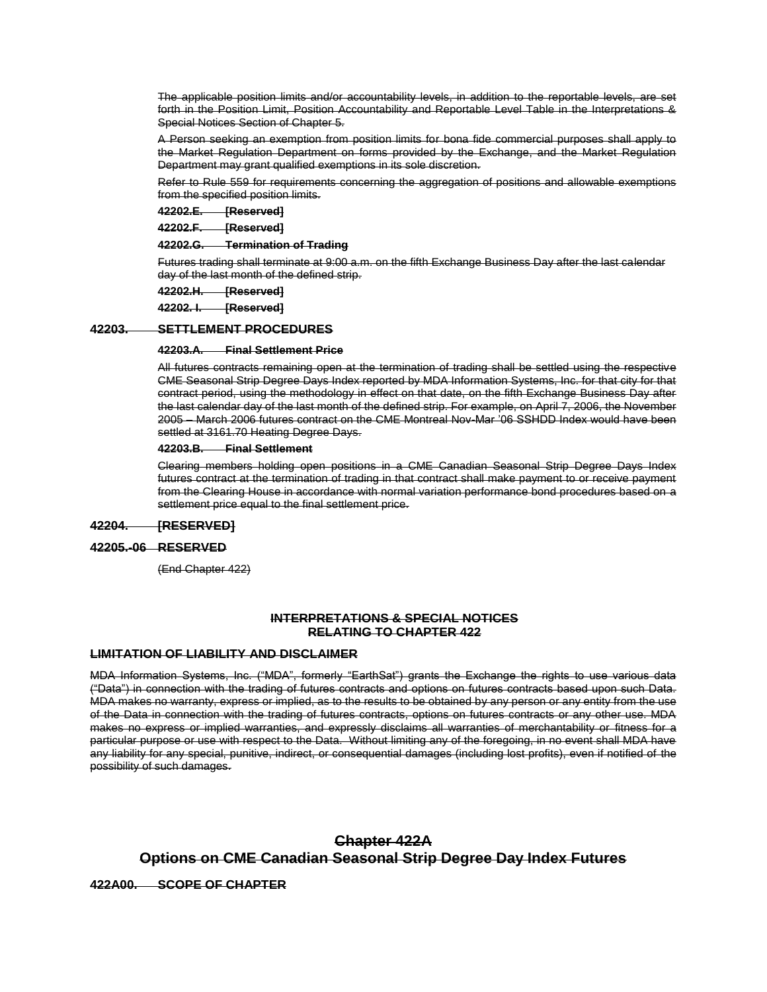The applicable position limits and/or accountability levels, in addition to the reportable levels, are set forth in the Position Limit, Position Accountability and Reportable Level Table in the Interpretations & Special Notices Section of Chapter 5.

A Person seeking an exemption from position limits for bona fide commercial purposes shall apply to the Market Regulation Department on forms provided by the Exchange, and the Market Regulation Department may grant qualified exemptions in its sole discretion.

Refer to Rule 559 for requirements concerning the aggregation of positions and allowable exemptions from the specified position limits.

**42202.E. [Reserved]**

**42202.F. [Reserved]**

**42202.G. Termination of Trading**

Futures trading shall terminate at 9:00 a.m. on the fifth Exchange Business Day after the last calendar day of the last month of the defined strip.

**42202.H. [Reserved]**

**42202. I. [Reserved]**

# **42203. SETTLEMENT PROCEDURES**

### **42203.A. Final Settlement Price**

All futures contracts remaining open at the termination of trading shall be settled using the respective CME Seasonal Strip Degree Days Index reported by MDA Information Systems, Inc. for that city for that contract period, using the methodology in effect on that date, on the fifth Exchange Business Day after the last calendar day of the last month of the defined strip. For example, on April 7, 2006, the November 2005 – March 2006 futures contract on the CME Montreal Nov-Mar '06 SSHDD Index would have been settled at 3161.70 Heating Degree Days.

### **42203.B. Final Settlement**

Clearing members holding open positions in a CME Canadian Seasonal Strip Degree Days Index futures contract at the termination of trading in that contract shall make payment to or receive payment from the Clearing House in accordance with normal variation performance bond procedures based on a settlement price equal to the final settlement price.

# **42204. [RESERVED]**

## **42205.-06 RESERVED**

(End Chapter 422)

# **INTERPRETATIONS & SPECIAL NOTICES RELATING TO CHAPTER 422**

# **LIMITATION OF LIABILITY AND DISCLAIMER**

MDA Information Systems, Inc. ("MDA", formerly "EarthSat") grants the Exchange the rights to use various data ("Data") in connection with the trading of futures contracts and options on futures contracts based upon such Data. MDA makes no warranty, express or implied, as to the results to be obtained by any person or any entity from the use of the Data in connection with the trading of futures contracts, options on futures contracts or any other use. MDA makes no express or implied warranties, and expressly disclaims all warranties of merchantability or fitness for a particular purpose or use with respect to the Data. Without limiting any of the foregoing, in no event shall MDA have any liability for any special, punitive, indirect, or consequential damages (including lost profits), even if notified of the possibility of such damages.

# **Chapter 422A Options on CME Canadian Seasonal Strip Degree Day Index Futures**

**422A00. SCOPE OF CHAPTER**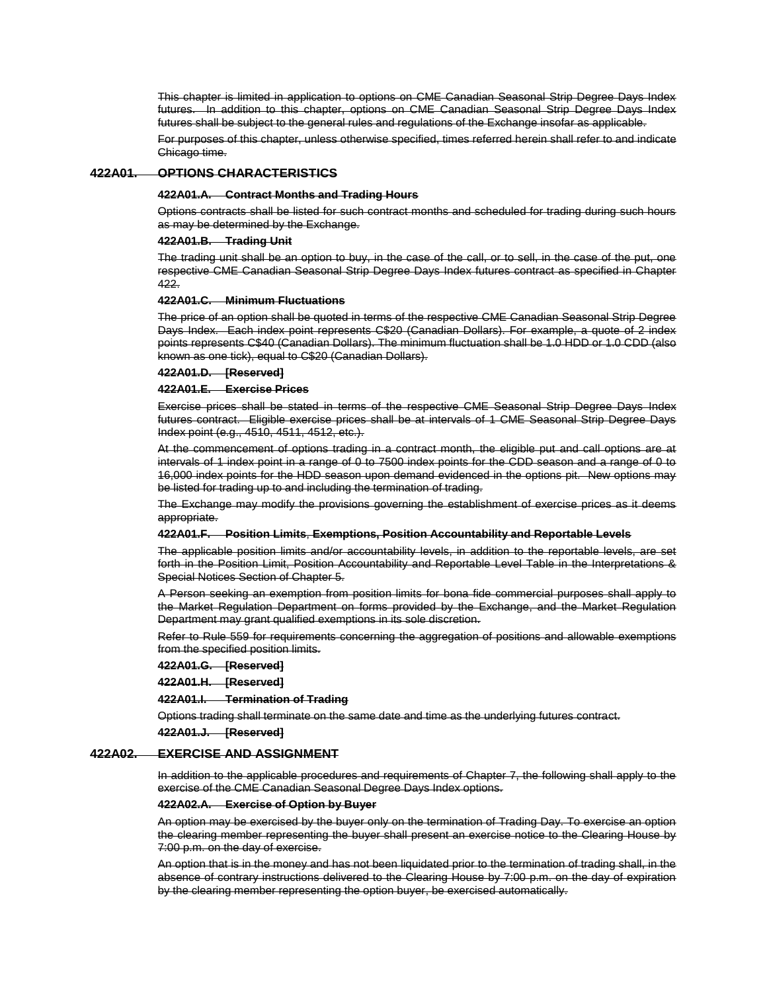This chapter is limited in application to options on CME Canadian Seasonal Strip Degree Days Index futures. In addition to this chapter, options on CME Canadian Seasonal Strip Degree Days Index futures shall be subject to the general rules and regulations of the Exchange insofar as applicable.

For purposes of this chapter, unless otherwise specified, times referred herein shall refer to and indicate Chicago time.

# **422A01. OPTIONS CHARACTERISTICS**

#### **422A01.A. Contract Months and Trading Hours**

Options contracts shall be listed for such contract months and scheduled for trading during such hours as may be determined by the Exchange.

### **422A01.B. Trading Unit**

The trading unit shall be an option to buy, in the case of the call, or to sell, in the case of the put, one respective CME Canadian Seasonal Strip Degree Days Index futures contract as specified in Chapter 422.

#### **422A01.C. Minimum Fluctuations**

The price of an option shall be quoted in terms of the respective CME Canadian Seasonal Strip Degree Days Index. Each index point represents C\$20 (Canadian Dollars). For example, a quote of 2 index points represents C\$40 (Canadian Dollars). The minimum fluctuation shall be 1.0 HDD or 1.0 CDD (also known as one tick), equal to C\$20 (Canadian Dollars).

### **422A01.D. [Reserved]**

# **422A01.E. Exercise Prices**

Exercise prices shall be stated in terms of the respective CME Seasonal Strip Degree Days Index futures contract. Eligible exercise prices shall be at intervals of 1 CME Seasonal Strip Degree Days Index point (e.g., 4510, 4511, 4512, etc.).

At the commencement of options trading in a contract month, the eligible put and call options are at intervals of 1 index point in a range of 0 to 7500 index points for the CDD season and a range of 0 to 16,000 index points for the HDD season upon demand evidenced in the options pit. New options may be listed for trading up to and including the termination of trading.

The Exchange may modify the provisions governing the establishment of exercise prices as it deems appropriate.

#### **422A01.F. Position Limits**, **Exemptions, Position Accountability and Reportable Levels**

The applicable position limits and/or accountability levels, in addition to the reportable levels, are set forth in the Position Limit, Position Accountability and Reportable Level Table in the Interpretations & Special Notices Section of Chapter 5.

A Person seeking an exemption from position limits for bona fide commercial purposes shall apply to the Market Regulation Department on forms provided by the Exchange, and the Market Regulation Department may grant qualified exemptions in its sole discretion.

Refer to Rule 559 for requirements concerning the aggregation of positions and allowable exemptions from the specified position limits.

### **422A01.G. [Reserved]**

**422A01.H. [Reserved]**

#### **422A01.I. Termination of Trading**

Options trading shall terminate on the same date and time as the underlying futures contract.

**422A01.J. [Reserved]**

#### **422A02. EXERCISE AND ASSIGNMENT**

In addition to the applicable procedures and requirements of Chapter 7, the following shall apply to the exercise of the CME Canadian Seasonal Degree Days Index options.

### **422A02.A. Exercise of Option by Buyer**

An option may be exercised by the buyer only on the termination of Trading Day. To exercise an option the clearing member representing the buyer shall present an exercise notice to the Clearing House by 7:00 p.m. on the day of exercise.

An option that is in the money and has not been liquidated prior to the termination of trading shall, in the absence of contrary instructions delivered to the Clearing House by 7:00 p.m. on the day of expiration by the clearing member representing the option buyer, be exercised automatically.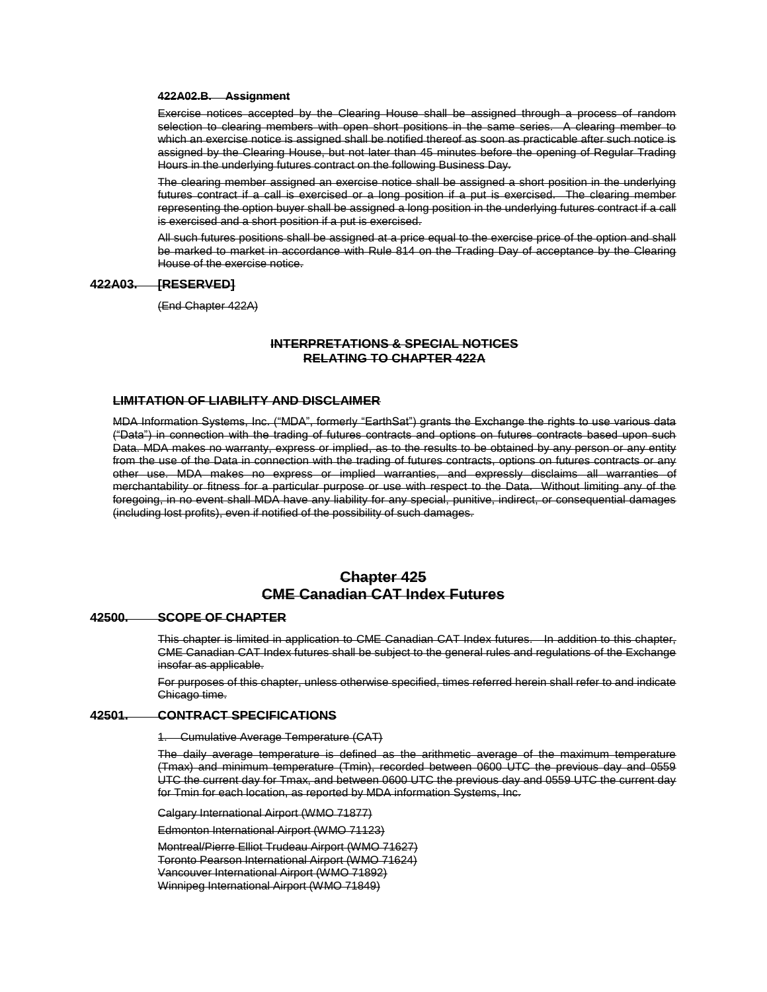### **422A02.B. Assignment**

Exercise notices accepted by the Clearing House shall be assigned through a process of random selection to clearing members with open short positions in the same series. A clearing member to which an exercise notice is assigned shall be notified thereof as soon as practicable after such notice is assigned by the Clearing House, but not later than 45 minutes before the opening of Regular Trading Hours in the underlying futures contract on the following Business Day.

The clearing member assigned an exercise notice shall be assigned a short position in the underlying futures contract if a call is exercised or a long position if a put is exercised. The clearing member representing the option buyer shall be assigned a long position in the underlying futures contract if a call is exercised and a short position if a put is exercised.

All such futures positions shall be assigned at a price equal to the exercise price of the option and shall be marked to market in accordance with Rule 814 on the Trading Day of acceptance by the Clearing House of the exercise notice.

# **422A03. [RESERVED]**

(End Chapter 422A)

# **INTERPRETATIONS & SPECIAL NOTICES RELATING TO CHAPTER 422A**

# **LIMITATION OF LIABILITY AND DISCLAIMER**

MDA Information Systems, Inc. ("MDA", formerly "EarthSat") grants the Exchange the rights to use various data ("Data") in connection with the trading of futures contracts and options on futures contracts based upon such Data. MDA makes no warranty, express or implied, as to the results to be obtained by any person or any entity from the use of the Data in connection with the trading of futures contracts, options on futures contracts or any other use. MDA makes no express or implied warranties, and expressly disclaims all warranties of merchantability or fitness for a particular purpose or use with respect to the Data. Without limiting any of the foregoing, in no event shall MDA have any liability for any special, punitive, indirect, or consequential damages (including lost profits), even if notified of the possibility of such damages.

# **Chapter 425 CME Canadian CAT Index Futures**

# **42500. SCOPE OF CHAPTER**

This chapter is limited in application to CME Canadian CAT Index futures. In addition to this chapter, CME Canadian CAT Index futures shall be subject to the general rules and regulations of the Exchange insofar as applicable.

For purposes of this chapter, unless otherwise specified, times referred herein shall refer to and indicate Chicago time.

# **42501. CONTRACT SPECIFICATIONS**

1. Cumulative Average Temperature (CAT)

The daily average temperature is defined as the arithmetic average of the maximum temperature (Tmax) and minimum temperature (Tmin), recorded between 0600 UTC the previous day and 0559 UTC the current day for Tmax, and between 0600 UTC the previous day and 0559 UTC the current day for Tmin for each location, as reported by MDA information Systems, Inc.

Calgary International Airport (WMO 71877)

Edmonton International Airport (WMO 71123)

Montreal/Pierre Elliot Trudeau Airport (WMO 71627) Toronto Pearson International Airport (WMO 71624) Vancouver International Airport (WMO 71892) Winnipeg International Airport (WMO 71849)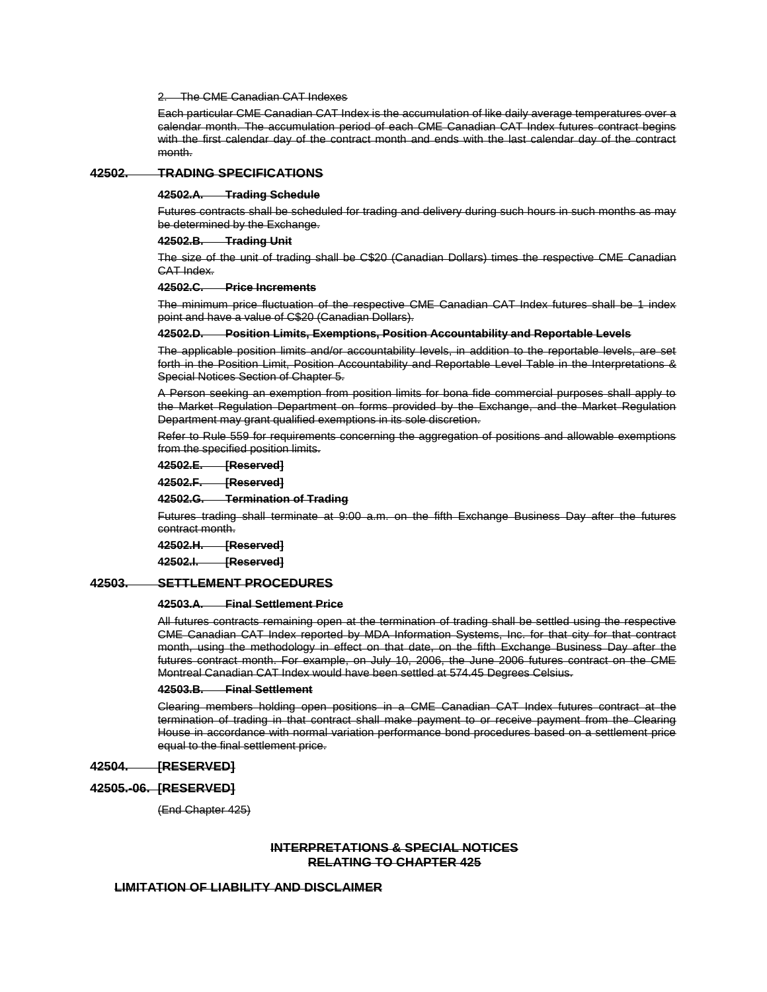### The CME Canadian CAT Indexes

Each particular CME Canadian CAT Index is the accumulation of like daily average temperatures over a calendar month. The accumulation period of each CME Canadian CAT Index futures contract begins with the first calendar day of the contract month and ends with the last calendar day of the contract month.

# **42502. TRADING SPECIFICATIONS**

#### **42502.A. Trading Schedule**

Futures contracts shall be scheduled for trading and delivery during such hours in such months as may be determined by the Exchange.

### **42502.B. Trading Unit**

The size of the unit of trading shall be C\$20 (Canadian Dollars) times the respective CME Canadian CAT Index.

# **42502.C. Price Increments**

The minimum price fluctuation of the respective CME Canadian CAT Index futures shall be 1 index point and have a value of C\$20 (Canadian Dollars).

#### **42502.D. Position Limits, Exemptions, Position Accountability and Reportable Levels**

The applicable position limits and/or accountability levels, in addition to the reportable levels, are set forth in the Position Limit, Position Accountability and Reportable Level Table in the Interpretations & Special Notices Section of Chapter 5.

A Person seeking an exemption from position limits for bona fide commercial purposes shall apply to the Market Regulation Department on forms provided by the Exchange, and the Market Regulation Department may grant qualified exemptions in its sole discretion.

Refer to Rule 559 for requirements concerning the aggregation of positions and allowable exemptions from the specified position limits.

**42502.E. [Reserved]**

**42502.F. [Reserved]**

**42502.G. Termination of Trading**

Futures trading shall terminate at 9:00 a.m. on the fifth Exchange Business Day after the futures contract month.

**42502.H. [Reserved]**

**42502.I. [Reserved]**

# **42503. SETTLEMENT PROCEDURES**

### **42503.A. Final Settlement Price**

All futures contracts remaining open at the termination of trading shall be settled using the respective CME Canadian CAT Index reported by MDA Information Systems, Inc. for that city for that contract month, using the methodology in effect on that date, on the fifth Exchange Business Day after the futures contract month. For example, on July 10, 2006, the June 2006 futures contract on the CME Montreal Canadian CAT Index would have been settled at 574.45 Degrees Celsius.

# **42503.B. Final Settlement**

Clearing members holding open positions in a CME Canadian CAT Index futures contract at the termination of trading in that contract shall make payment to or receive payment from the Clearing House in accordance with normal variation performance bond procedures based on a settlement price equal to the final settlement price.

#### **42504. [RESERVED]**

# **42505.-06. [RESERVED]**

(End Chapter 425)

# **INTERPRETATIONS & SPECIAL NOTICES RELATING TO CHAPTER 425**

# **LIMITATION OF LIABILITY AND DISCLAIMER**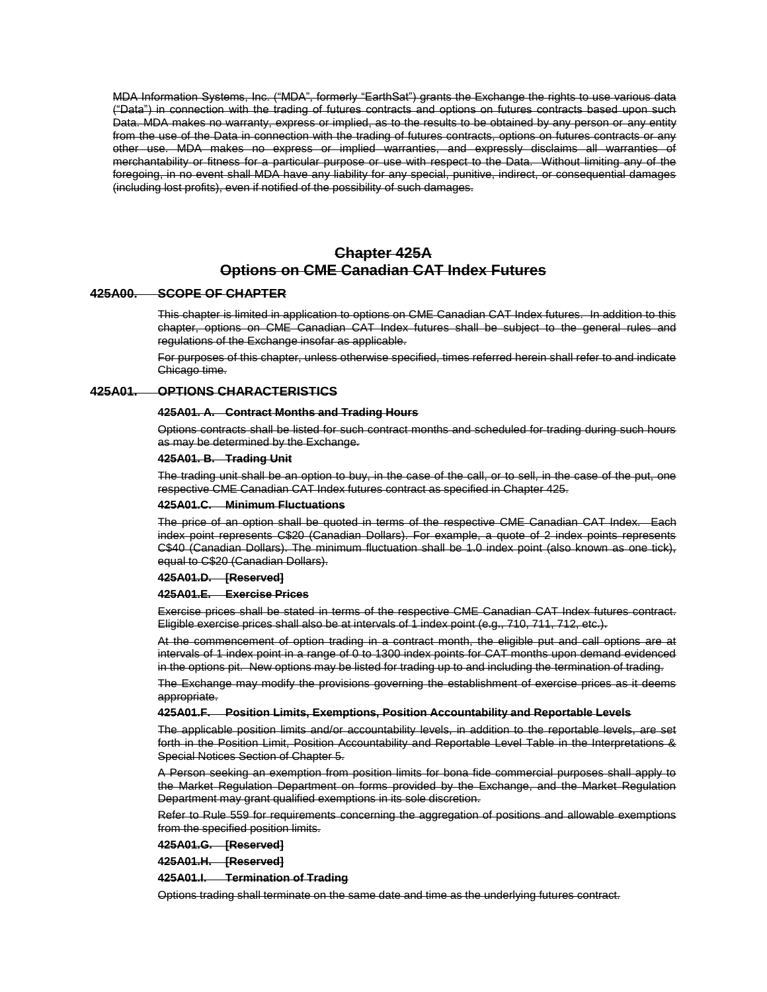MDA Information Systems, Inc. ("MDA", formerly "EarthSat") grants the Exchange the rights to use various data ("Data") in connection with the trading of futures contracts and options on futures contracts based upon such Data. MDA makes no warranty, express or implied, as to the results to be obtained by any person or any entity from the use of the Data in connection with the trading of futures contracts, options on futures contracts or any other use. MDA makes no express or implied warranties, and expressly disclaims all warranties of merchantability or fitness for a particular purpose or use with respect to the Data. Without limiting any of the foregoing, in no event shall MDA have any liability for any special, punitive, indirect, or consequential damages (including lost profits), even if notified of the possibility of such damages.

# **Chapter 425A Options on CME Canadian CAT Index Futures**

# **425A00. SCOPE OF CHAPTER**

This chapter is limited in application to options on CME Canadian CAT Index futures. In addition to this chapter, options on CME Canadian CAT Index futures shall be subject to the general rules and regulations of the Exchange insofar as applicable.

For purposes of this chapter, unless otherwise specified, times referred herein shall refer to and indicate Chicago time.

# **425A01. OPTIONS CHARACTERISTICS**

### **425A01. A. Contract Months and Trading Hours**

Options contracts shall be listed for such contract months and scheduled for trading during such hours as may be determined by the Exchange.

### **425A01. B. Trading Unit**

The trading unit shall be an option to buy, in the case of the call, or to sell, in the case of the put, one respective CME Canadian CAT Index futures contract as specified in Chapter 425.

#### **425A01.C. Minimum Fluctuations**

The price of an option shall be quoted in terms of the respective CME Canadian CAT Index. Each index point represents C\$20 (Canadian Dollars). For example, a quote of 2 index points represents C\$40 (Canadian Dollars). The minimum fluctuation shall be 1.0 index point (also known as one tick), equal to C\$20 (Canadian Dollars).

**425A01.D. [Reserved]**

#### **425A01.E. Exercise Prices**

Exercise prices shall be stated in terms of the respective CME Canadian CAT Index futures contract. Eligible exercise prices shall also be at intervals of 1 index point (e.g., 710, 711, 712, etc.).

At the commencement of option trading in a contract month, the eligible put and call options are at intervals of 1 index point in a range of 0 to 1300 index points for CAT months upon demand evidenced in the options pit. New options may be listed for trading up to and including the termination of trading.

The Exchange may modify the provisions governing the establishment of exercise prices as it deems appropriate.

#### **425A01.F. Position Limits, Exemptions, Position Accountability and Reportable Levels**

The applicable position limits and/or accountability levels, in addition to the reportable levels, are set forth in the Position Limit, Position Accountability and Reportable Level Table in the Interpretations & Special Notices Section of Chapter 5.

A Person seeking an exemption from position limits for bona fide commercial purposes shall apply to the Market Regulation Department on forms provided by the Exchange, and the Market Regulation Department may grant qualified exemptions in its sole discretion.

Refer to Rule 559 for requirements concerning the aggregation of positions and allowable exemptions from the specified position limits.

**425A01.G. [Reserved]**

**425A01.H. [Reserved]**

**425A01.I. Termination of Trading**

Options trading shall terminate on the same date and time as the underlying futures contract.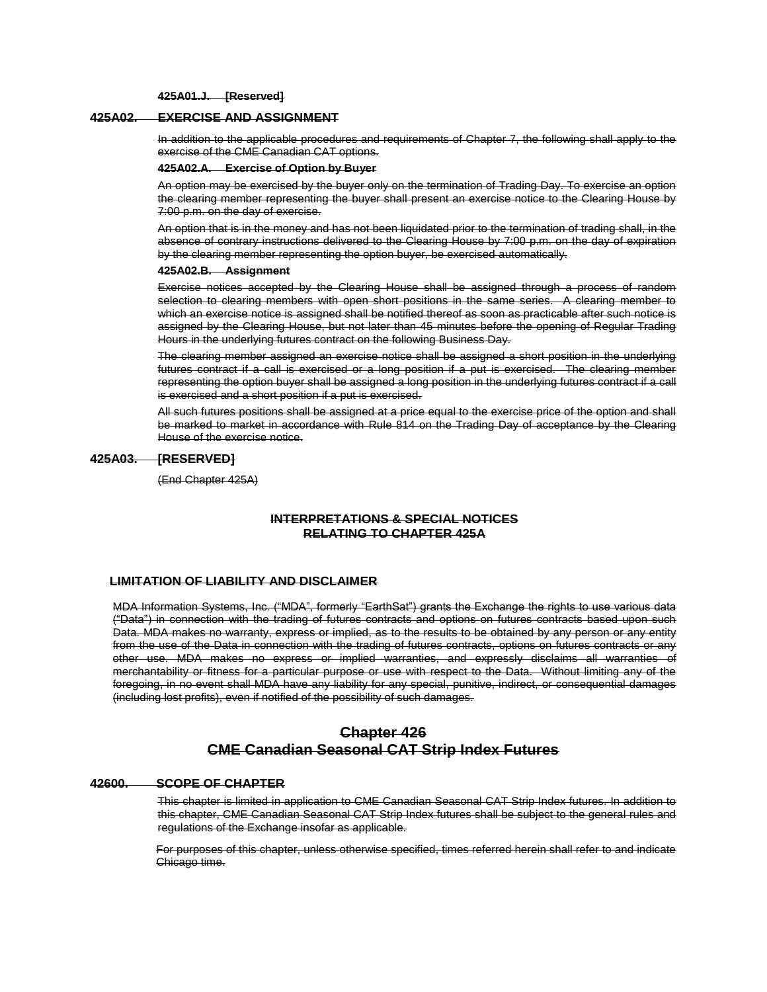**425A01.J. [Reserved]**

# **425A02. EXERCISE AND ASSIGNMENT**

In addition to the applicable procedures and requirements of Chapter 7, the following shall apply to the exercise of the CME Canadian CAT options.

#### **425A02.A. Exercise of Option by Buyer**

An option may be exercised by the buyer only on the termination of Trading Day. To exercise an option the clearing member representing the buyer shall present an exercise notice to the Clearing House by 7:00 p.m. on the day of exercise.

An option that is in the money and has not been liquidated prior to the termination of trading shall, in the absence of contrary instructions delivered to the Clearing House by 7:00 p.m. on the day of expiration by the clearing member representing the option buyer, be exercised automatically.

#### **425A02.B. Assignment**

Exercise notices accepted by the Clearing House shall be assigned through a process of random selection to clearing members with open short positions in the same series. A clearing member to which an exercise notice is assigned shall be notified thereof as soon as practicable after such notice is assigned by the Clearing House, but not later than 45 minutes before the opening of Regular Trading Hours in the underlying futures contract on the following Business Day.

The clearing member assigned an exercise notice shall be assigned a short position in the underlying futures contract if a call is exercised or a long position if a put is exercised. The clearing member representing the option buyer shall be assigned a long position in the underlying futures contract if a call is exercised and a short position if a put is exercised.

All such futures positions shall be assigned at a price equal to the exercise price of the option and shall be marked to market in accordance with Rule 814 on the Trading Day of acceptance by the Clearing House of the exercise notice.

# **425A03. [RESERVED]**

(End Chapter 425A)

# **INTERPRETATIONS & SPECIAL NOTICES RELATING TO CHAPTER 425A**

# **LIMITATION OF LIABILITY AND DISCLAIMER**

MDA Information Systems, Inc. ("MDA", formerly "EarthSat") grants the Exchange the rights to use various data ("Data") in connection with the trading of futures contracts and options on futures contracts based upon such Data. MDA makes no warranty, express or implied, as to the results to be obtained by any person or any entity from the use of the Data in connection with the trading of futures contracts, options on futures contracts or any other use. MDA makes no express or implied warranties, and expressly disclaims all warranties of merchantability or fitness for a particular purpose or use with respect to the Data. Without limiting any of the foregoing, in no event shall MDA have any liability for any special, punitive, indirect, or consequential damages (including lost profits), even if notified of the possibility of such damages.

# **Chapter 426 CME Canadian Seasonal CAT Strip Index Futures**

## **42600. SCOPE OF CHAPTER**

This chapter is limited in application to CME Canadian Seasonal CAT Strip Index futures. In addition to this chapter, CME Canadian Seasonal CAT Strip Index futures shall be subject to the general rules and regulations of the Exchange insofar as applicable.

For purposes of this chapter, unless otherwise specified, times referred herein shall refer to and indicate Chicago time.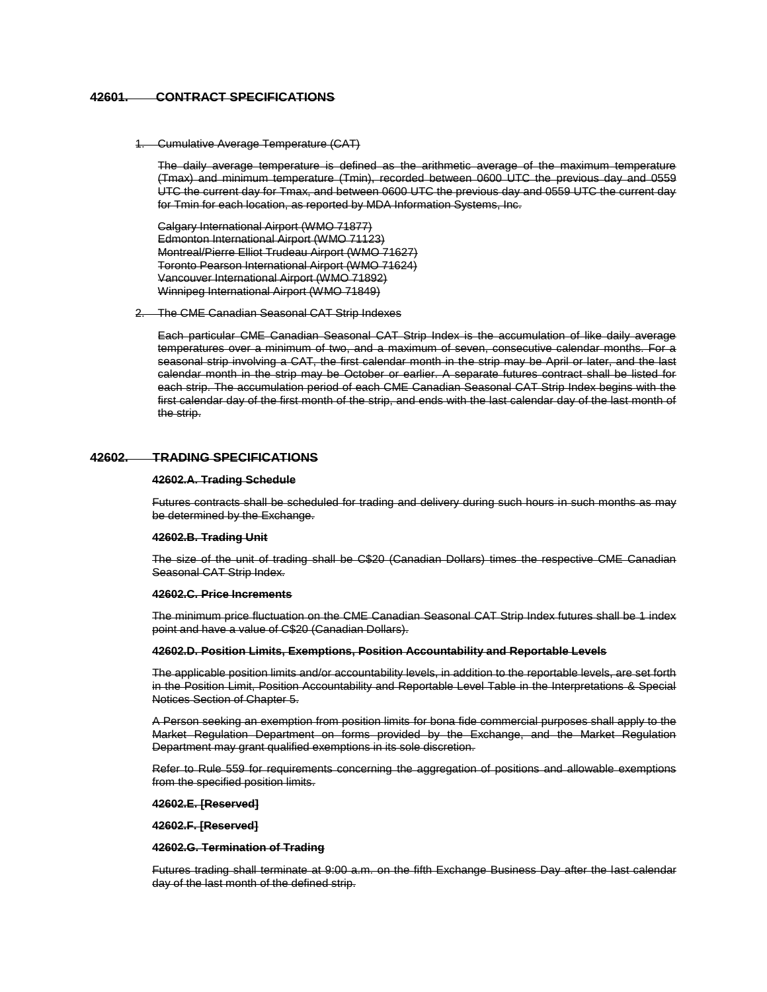# **42601. CONTRACT SPECIFICATIONS**

1. Cumulative Average Temperature (CAT)

The daily average temperature is defined as the arithmetic average of the maximum temperature (Tmax) and minimum temperature (Tmin), recorded between 0600 UTC the previous day and 0559 UTC the current day for Tmax, and between 0600 UTC the previous day and 0559 UTC the current day for Tmin for each location, as reported by MDA Information Systems, Inc.

Calgary International Airport (WMO 71877) Edmonton International Airport (WMO 71123) Montreal/Pierre Elliot Trudeau Airport (WMO 71627) Toronto Pearson International Airport (WMO 71624) Vancouver International Airport (WMO 71892) Winnipeg International Airport (WMO 71849)

2. The CME Canadian Seasonal CAT Strip Indexes

Each particular CME Canadian Seasonal CAT Strip Index is the accumulation of like daily average temperatures over a minimum of two, and a maximum of seven, consecutive calendar months. For a seasonal strip involving a CAT, the first calendar month in the strip may be April or later, and the last calendar month in the strip may be October or earlier. A separate futures contract shall be listed for each strip. The accumulation period of each CME Canadian Seasonal CAT Strip Index begins with the first calendar day of the first month of the strip, and ends with the last calendar day of the last month of the strip.

# **42602. TRADING SPECIFICATIONS**

#### **42602.A. Trading Schedule**

Futures contracts shall be scheduled for trading and delivery during such hours in such months as may be determined by the Exchange.

# **42602.B. Trading Unit**

The size of the unit of trading shall be C\$20 (Canadian Dollars) times the respective CME Canadian Seasonal CAT Strip Index.

### **42602.C. Price Increments**

The minimum price fluctuation on the CME Canadian Seasonal CAT Strip Index futures shall be 1 index point and have a value of C\$20 (Canadian Dollars).

#### **42602.D. Position Limits, Exemptions, Position Accountability and Reportable Levels**

The applicable position limits and/or accountability levels, in addition to the reportable levels, are set forth in the Position Limit, Position Accountability and Reportable Level Table in the Interpretations & Special Notices Section of Chapter 5.

A Person seeking an exemption from position limits for bona fide commercial purposes shall apply to the Market Regulation Department on forms provided by the Exchange, and the Market Regulation Department may grant qualified exemptions in its sole discretion.

Refer to Rule 559 for requirements concerning the aggregation of positions and allowable exemptions from the specified position limits.

**42602.E. [Reserved]**

**42602.F. [Reserved]** 

#### **42602.G. Termination of Trading**

Futures trading shall terminate at 9:00 a.m. on the fifth Exchange Business Day after the last calendar day of the last month of the defined strip.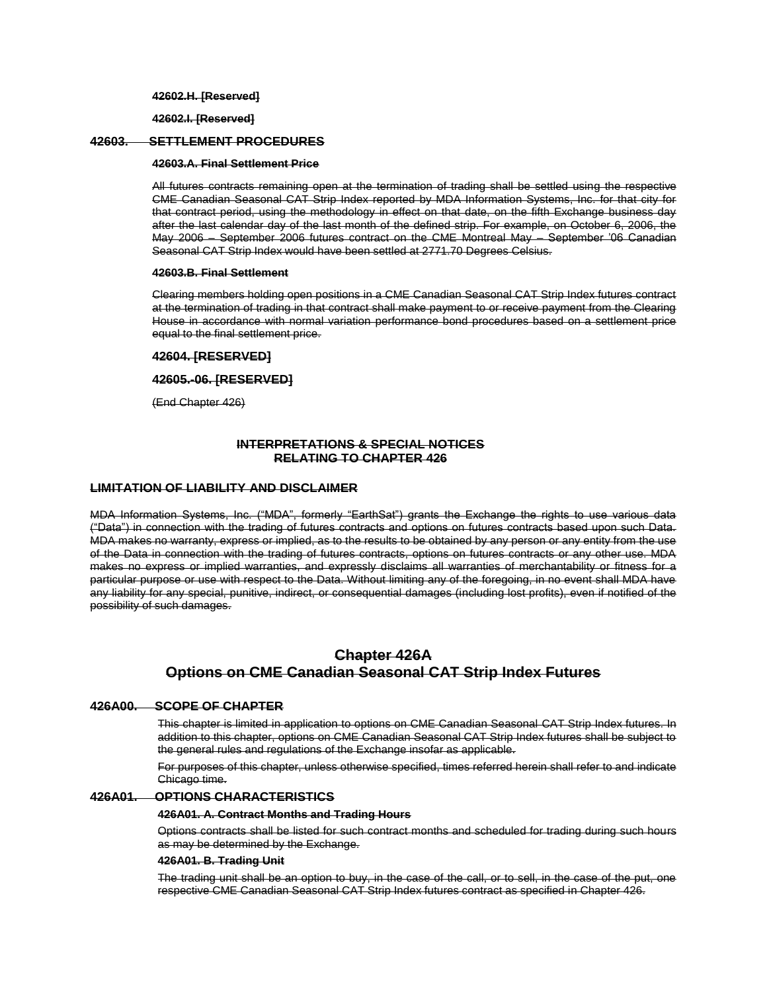**42602.H. [Reserved]** 

**42602.I. [Reserved]** 

# **42603. SETTLEMENT PROCEDURES**

# **42603.A. Final Settlement Price**

All futures contracts remaining open at the termination of trading shall be settled using the respective CME Canadian Seasonal CAT Strip Index reported by MDA Information Systems, Inc. for that city for that contract period, using the methodology in effect on that date, on the fifth Exchange business day after the last calendar day of the last month of the defined strip. For example, on October 6, 2006, the May 2006 – September 2006 futures contract on the CME Montreal May – September '06 Canadian Seasonal CAT Strip Index would have been settled at 2771.70 Degrees Celsius.

# **42603.B. Final Settlement**

Clearing members holding open positions in a CME Canadian Seasonal CAT Strip Index futures contract at the termination of trading in that contract shall make payment to or receive payment from the Clearing House in accordance with normal variation performance bond procedures based on a settlement price equal to the final settlement price.

# **42604. [RESERVED]**

# **42605.-06. [RESERVED]**

(End Chapter 426)

# **INTERPRETATIONS & SPECIAL NOTICES RELATING TO CHAPTER 426**

## **LIMITATION OF LIABILITY AND DISCLAIMER**

MDA Information Systems, Inc. ("MDA", formerly "EarthSat") grants the Exchange the rights to use various data ("Data") in connection with the trading of futures contracts and options on futures contracts based upon such Data. MDA makes no warranty, express or implied, as to the results to be obtained by any person or any entity from the use of the Data in connection with the trading of futures contracts, options on futures contracts or any other use. MDA makes no express or implied warranties, and expressly disclaims all warranties of merchantability or fitness for a particular purpose or use with respect to the Data. Without limiting any of the foregoing, in no event shall MDA have any liability for any special, punitive, indirect, or consequential damages (including lost profits), even if notified of the possibility of such damages.

# **Chapter 426A Options on CME Canadian Seasonal CAT Strip Index Futures**

# **426A00. SCOPE OF CHAPTER**

This chapter is limited in application to options on CME Canadian Seasonal CAT Strip Index futures. In addition to this chapter, options on CME Canadian Seasonal CAT Strip Index futures shall be subject to the general rules and regulations of the Exchange insofar as applicable.

For purposes of this chapter, unless otherwise specified, times referred herein shall refer to and indicate Chicago time.

## **426A01. OPTIONS CHARACTERISTICS**

### **426A01. A. Contract Months and Trading Hours**

Options contracts shall be listed for such contract months and scheduled for trading during such hours as may be determined by the Exchange.

### **426A01. B. Trading Unit**

The trading unit shall be an option to buy, in the case of the call, or to sell, in the case of the put, one respective CME Canadian Seasonal CAT Strip Index futures contract as specified in Chapter 426.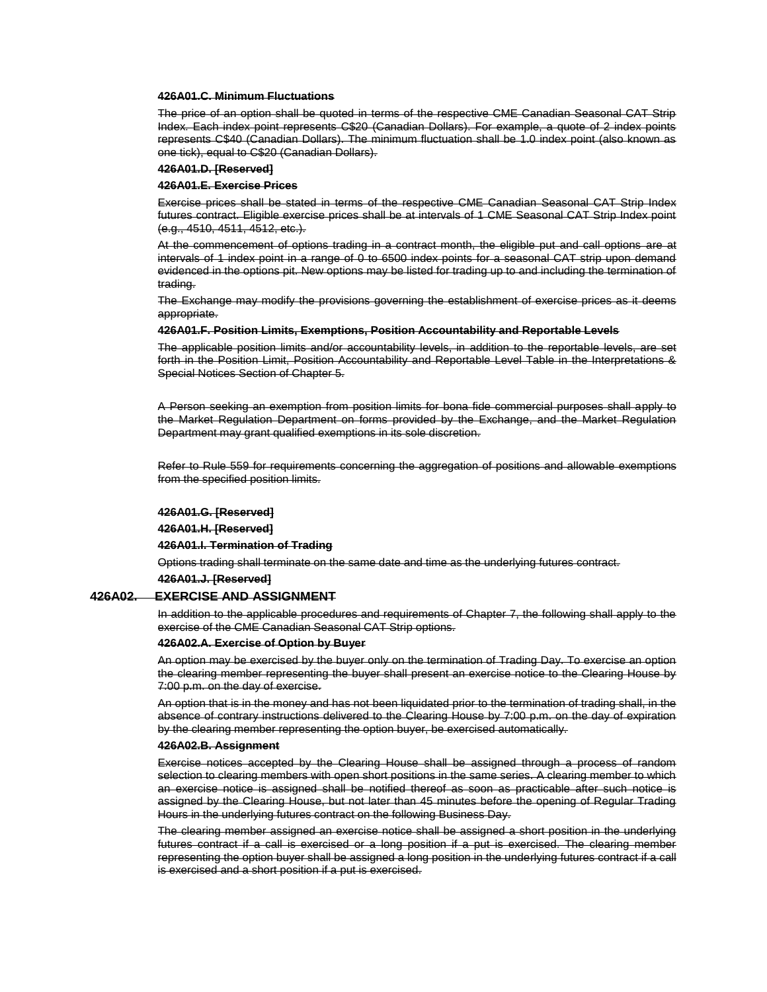### **426A01.C. Minimum Fluctuations**

The price of an option shall be quoted in terms of the respective CME Canadian Seasonal CAT Strip Index. Each index point represents C\$20 (Canadian Dollars). For example, a quote of 2 index points represents C\$40 (Canadian Dollars). The minimum fluctuation shall be 1.0 index point (also known as one tick), equal to C\$20 (Canadian Dollars).

### **426A01.D. [Reserved]**

### **426A01.E. Exercise Prices**

Exercise prices shall be stated in terms of the respective CME Canadian Seasonal CAT Strip Index futures contract. Eligible exercise prices shall be at intervals of 1 CME Seasonal CAT Strip Index point (e.g., 4510, 4511, 4512, etc.).

At the commencement of options trading in a contract month, the eligible put and call options are at intervals of 1 index point in a range of 0 to 6500 index points for a seasonal CAT strip upon demand evidenced in the options pit. New options may be listed for trading up to and including the termination of trading.

The Exchange may modify the provisions governing the establishment of exercise prices as it deems appropriate.

### **426A01.F. Position Limits, Exemptions, Position Accountability and Reportable Levels**

The applicable position limits and/or accountability levels, in addition to the reportable levels, are set forth in the Position Limit, Position Accountability and Reportable Level Table in the Interpretations & Special Notices Section of Chapter 5.

A Person seeking an exemption from position limits for bona fide commercial purposes shall apply to the Market Regulation Department on forms provided by the Exchange, and the Market Regulation Department may grant qualified exemptions in its sole discretion.

Refer to Rule 559 for requirements concerning the aggregation of positions and allowable exemptions from the specified position limits.

#### **426A01.G. [Reserved]**

### **426A01.H. [Reserved]**

**426A01.I. Termination of Trading** 

Options trading shall terminate on the same date and time as the underlying futures contract.

**426A01.J. [Reserved]** 

#### **426A02. EXERCISE AND ASSIGNMENT**

In addition to the applicable procedures and requirements of Chapter 7, the following shall apply to the exercise of the CME Canadian Seasonal CAT Strip options.

#### **426A02.A. Exercise of Option by Buyer**

An option may be exercised by the buyer only on the termination of Trading Day. To exercise an option the clearing member representing the buyer shall present an exercise notice to the Clearing House by 7:00 p.m. on the day of exercise.

An option that is in the money and has not been liquidated prior to the termination of trading shall, in the absence of contrary instructions delivered to the Clearing House by 7:00 p.m. on the day of expiration by the clearing member representing the option buyer, be exercised automatically.

# **426A02.B. Assignment**

Exercise notices accepted by the Clearing House shall be assigned through a process of random selection to clearing members with open short positions in the same series. A clearing member to which an exercise notice is assigned shall be notified thereof as soon as practicable after such notice is assigned by the Clearing House, but not later than 45 minutes before the opening of Regular Trading Hours in the underlying futures contract on the following Business Day.

The clearing member assigned an exercise notice shall be assigned a short position in the underlying futures contract if a call is exercised or a long position if a put is exercised. The clearing member representing the option buyer shall be assigned a long position in the underlying futures contract if a call is exercised and a short position if a put is exercised.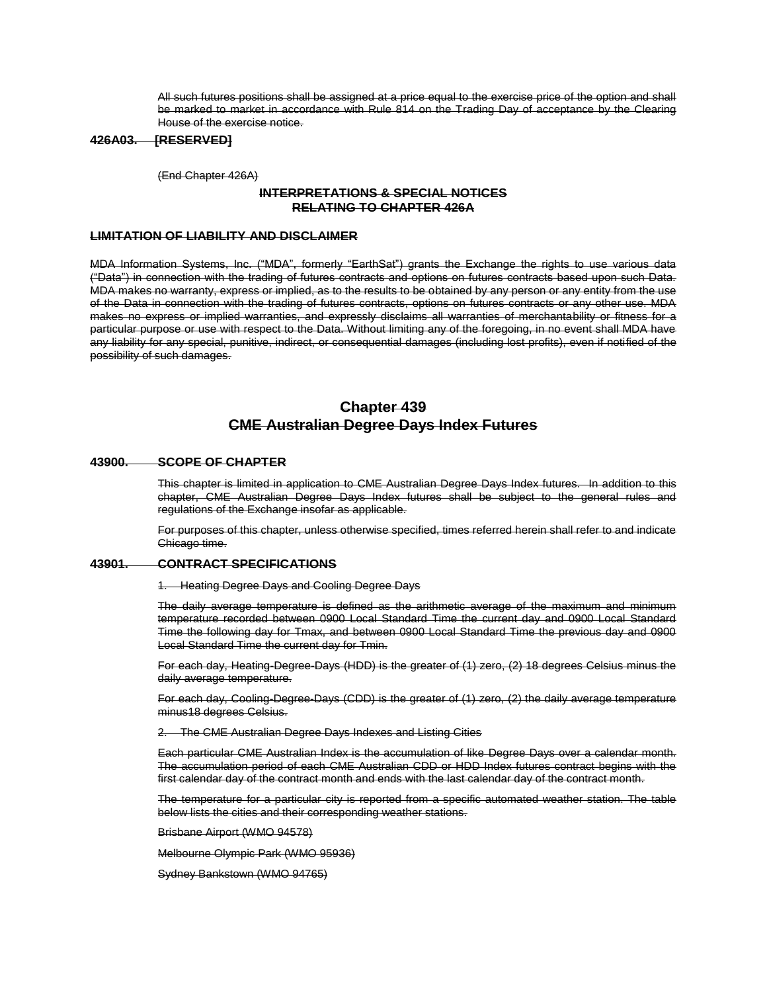All such futures positions shall be assigned at a price equal to the exercise price of the option and shall be marked to market in accordance with Rule 814 on the Trading Day of acceptance by the Clearing House of the exercise notice.

# **426A03. [RESERVED]**

(End Chapter 426A)

# **INTERPRETATIONS & SPECIAL NOTICES RELATING TO CHAPTER 426A**

# **LIMITATION OF LIABILITY AND DISCLAIMER**

MDA Information Systems, Inc. ("MDA", formerly "EarthSat") grants the Exchange the rights to use various data ("Data") in connection with the trading of futures contracts and options on futures contracts based upon such Data. MDA makes no warranty, express or implied, as to the results to be obtained by any person or any entity from the use of the Data in connection with the trading of futures contracts, options on futures contracts or any other use. MDA makes no express or implied warranties, and expressly disclaims all warranties of merchantability or fitness for a particular purpose or use with respect to the Data. Without limiting any of the foregoing, in no event shall MDA have any liability for any special, punitive, indirect, or consequential damages (including lost profits), even if notified of the possibility of such damages.

# **Chapter 439 CME Australian Degree Days Index Futures**

# **43900. SCOPE OF CHAPTER**

This chapter is limited in application to CME Australian Degree Days Index futures. In addition to this chapter, CME Australian Degree Days Index futures shall be subject to the general rules and regulations of the Exchange insofar as applicable.

For purposes of this chapter, unless otherwise specified, times referred herein shall refer to and indicate Chicago time.

# **43901. CONTRACT SPECIFICATIONS**

1. Heating Degree Days and Cooling Degree Days

The daily average temperature is defined as the arithmetic average of the maximum and minimum temperature recorded between 0900 Local Standard Time the current day and 0900 Local Standard Time the following day for Tmax, and between 0900 Local Standard Time the previous day and 0900 Local Standard Time the current day for Tmin.

For each day, Heating-Degree-Days (HDD) is the greater of (1) zero, (2) 18 degrees Celsius minus the daily average temperature.

For each day, Cooling-Degree-Days (CDD) is the greater of (1) zero, (2) the daily average temperature minus18 degrees Celsius.

2. The CME Australian Degree Days Indexes and Listing Cities

Each particular CME Australian Index is the accumulation of like Degree Days over a calendar month. The accumulation period of each CME Australian CDD or HDD Index futures contract begins with the first calendar day of the contract month and ends with the last calendar day of the contract month.

The temperature for a particular city is reported from a specific automated weather station. The table below lists the cities and their corresponding weather stations.

Brisbane Airport (WMO 94578)

Melbourne Olympic Park (WMO 95936)

Sydney Bankstown (WMO 94765)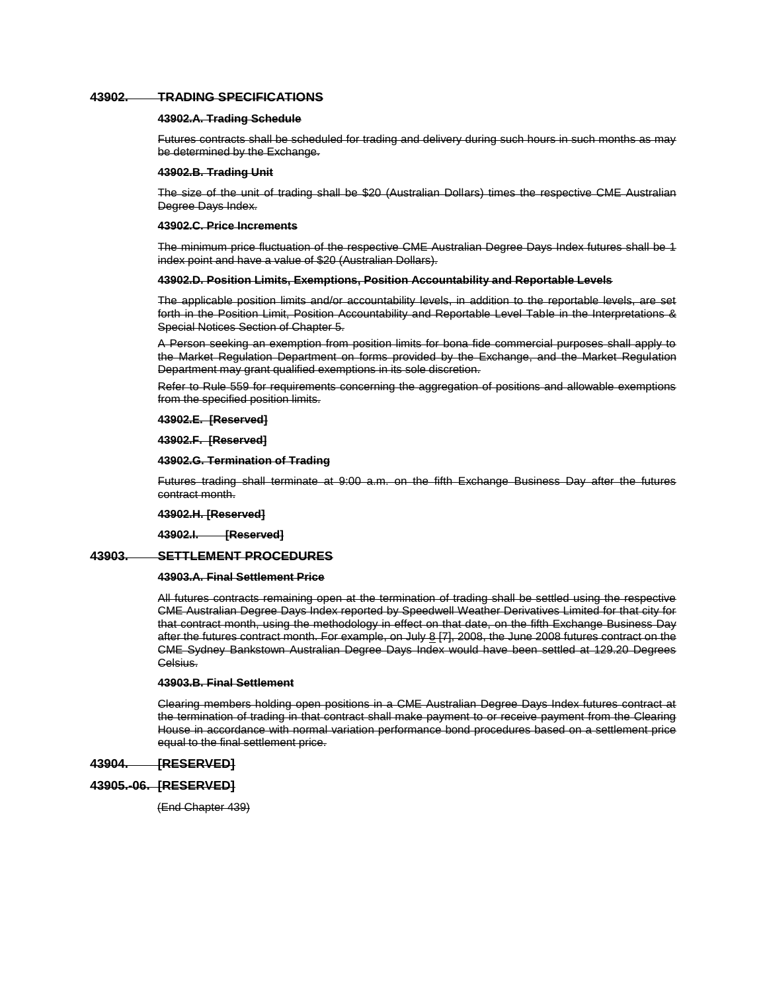## **43902. TRADING SPECIFICATIONS**

# **43902.A. Trading Schedule**

Futures contracts shall be scheduled for trading and delivery during such hours in such months as may be determined by the Exchange.

#### **43902.B. Trading Unit**

The size of the unit of trading shall be \$20 (Australian Dollars) times the respective CME Australian Degree Days Index.

## **43902.C. Price Increments**

The minimum price fluctuation of the respective CME Australian Degree Days Index futures shall be 1 index point and have a value of \$20 (Australian Dollars).

#### **43902.D. Position Limits, Exemptions, Position Accountability and Reportable Levels**

The applicable position limits and/or accountability levels, in addition to the reportable levels, are set forth in the Position Limit, Position Accountability and Reportable Level Table in the Interpretations & Special Notices Section of Chapter 5.

A Person seeking an exemption from position limits for bona fide commercial purposes shall apply to the Market Regulation Department on forms provided by the Exchange, and the Market Regulation Department may grant qualified exemptions in its sole discretion.

Refer to Rule 559 for requirements concerning the aggregation of positions and allowable exemptions from the specified position limits.

### **43902.E. [Reserved]**

### **43902.F. [Reserved]**

## **43902.G. Termination of Trading**

Futures trading shall terminate at 9:00 a.m. on the fifth Exchange Business Day after the futures contract month.

### **43902.H. [Reserved]**

**43902.I. [Reserved]**

# **43903. SETTLEMENT PROCEDURES**

### **43903.A. Final Settlement Price**

All futures contracts remaining open at the termination of trading shall be settled using the respective CME Australian Degree Days Index reported by Speedwell Weather Derivatives Limited for that city for that contract month, using the methodology in effect on that date, on the fifth Exchange Business Day after the futures contract month. For example, on July 8 [7], 2008, the June 2008 futures contract on the CME Sydney Bankstown Australian Degree Days Index would have been settled at 129.20 Degrees Celsius.

# **43903.B. Final Settlement**

Clearing members holding open positions in a CME Australian Degree Days Index futures contract at the termination of trading in that contract shall make payment to or receive payment from the Clearing House in accordance with normal variation performance bond procedures based on a settlement price equal to the final settlement price.

## **43904. [RESERVED]**

# **43905.-06. [RESERVED]**

(End Chapter 439)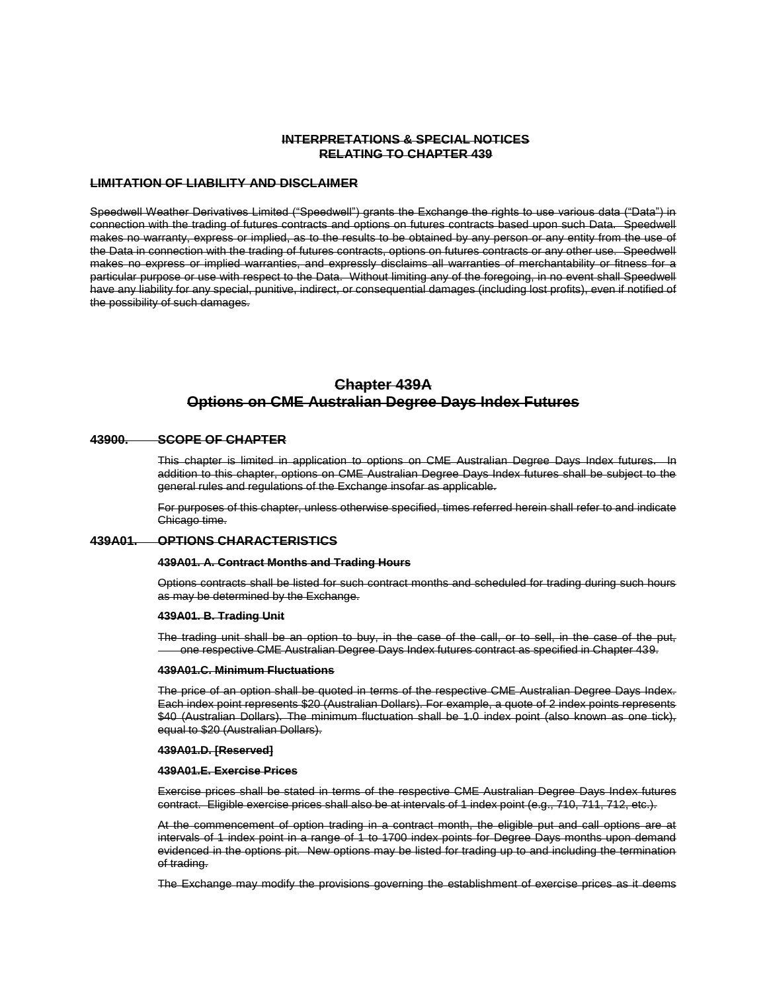# **INTERPRETATIONS & SPECIAL NOTICES RELATING TO CHAPTER 439**

# **LIMITATION OF LIABILITY AND DISCLAIMER**

Speedwell Weather Derivatives Limited ("Speedwell") grants the Exchange the rights to use various data ("Data") in connection with the trading of futures contracts and options on futures contracts based upon such Data. Speedwell makes no warranty, express or implied, as to the results to be obtained by any person or any entity from the use of the Data in connection with the trading of futures contracts, options on futures contracts or any other use. Speedwell makes no express or implied warranties, and expressly disclaims all warranties of merchantability or fitness for a particular purpose or use with respect to the Data. Without limiting any of the foregoing, in no event shall Speedwell have any liability for any special, punitive, indirect, or consequential damages (including lost profits), even if notified of the possibility of such damages.

# **Chapter 439A Options on CME Australian Degree Days Index Futures**

### **43900. SCOPE OF CHAPTER**

This chapter is limited in application to options on CME Australian Degree Days Index futures. In addition to this chapter, options on CME Australian Degree Days Index futures shall be subject to the general rules and regulations of the Exchange insofar as applicable.

For purposes of this chapter, unless otherwise specified, times referred herein shall refer to and indicate Chicago time.

# **439A01. OPTIONS CHARACTERISTICS**

#### **439A01. A. Contract Months and Trading Hours**

Options contracts shall be listed for such contract months and scheduled for trading during such hours as may be determined by the Exchange.

#### **439A01. B. Trading Unit**

The trading unit shall be an option to buy, in the case of the call, or to sell, in the case of the put, one respective CME Australian Degree Days Index futures contract as specified in Chapter 439.

#### **439A01.C. Minimum Fluctuations**

The price of an option shall be quoted in terms of the respective CME Australian Degree Days Index. Each index point represents \$20 (Australian Dollars). For example, a quote of 2 index points represents \$40 (Australian Dollars). The minimum fluctuation shall be 1.0 index point (also known as one tick), equal to \$20 (Australian Dollars).

#### **439A01.D. [Reserved]**

#### **439A01.E. Exercise Prices**

Exercise prices shall be stated in terms of the respective CME Australian Degree Days Index futures contract. Eligible exercise prices shall also be at intervals of 1 index point (e.g., 710, 711, 712, etc.).

At the commencement of option trading in a contract month, the eligible put and call options are at intervals of 1 index point in a range of 1 to 1700 index points for Degree Days months upon demand evidenced in the options pit. New options may be listed for trading up to and including the termination of trading.

The Exchange may modify the provisions governing the establishment of exercise prices as it deems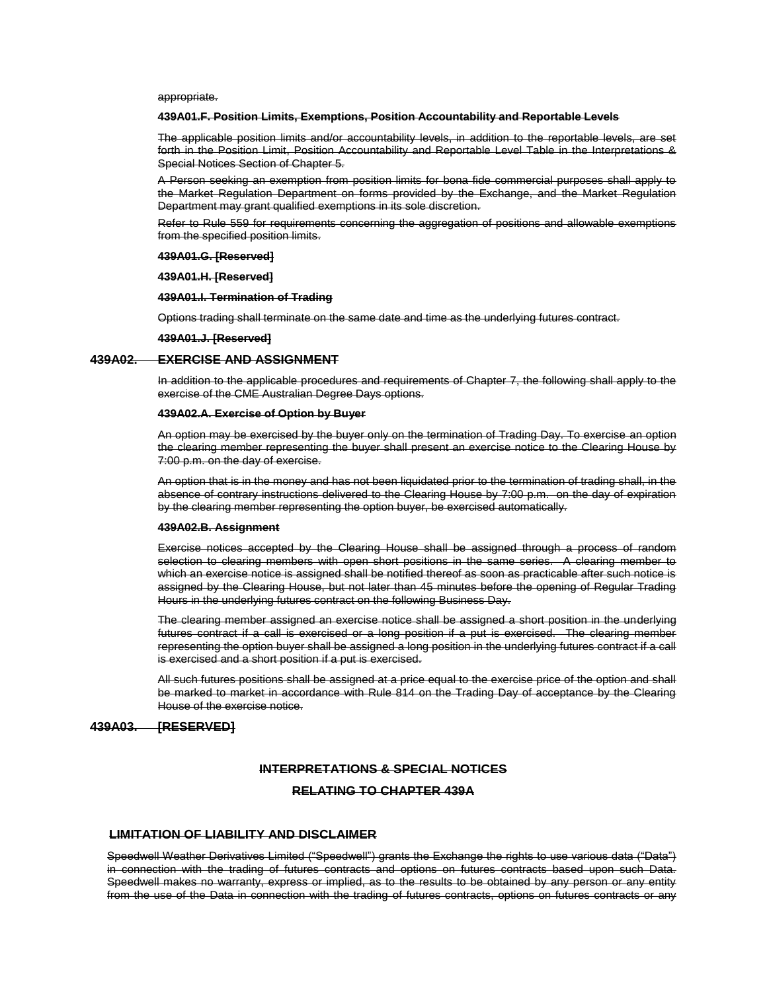appropriate.

### **439A01.F. Position Limits, Exemptions, Position Accountability and Reportable Levels**

The applicable position limits and/or accountability levels, in addition to the reportable levels, are set forth in the Position Limit, Position Accountability and Reportable Level Table in the Interpretations & Special Notices Section of Chapter 5.

A Person seeking an exemption from position limits for bona fide commercial purposes shall apply to the Market Regulation Department on forms provided by the Exchange, and the Market Regulation Department may grant qualified exemptions in its sole discretion.

Refer to Rule 559 for requirements concerning the aggregation of positions and allowable exemptions from the specified position limits.

### **439A01.G. [Reserved]**

### **439A01.H. [Reserved]**

### **439A01.I. Termination of Trading**

Options trading shall terminate on the same date and time as the underlying futures contract.

**439A01.J. [Reserved]**

### **439A02. EXERCISE AND ASSIGNMENT**

In addition to the applicable procedures and requirements of Chapter 7, the following shall apply to the exercise of the CME Australian Degree Days options.

## **439A02.A. Exercise of Option by Buyer**

An option may be exercised by the buyer only on the termination of Trading Day. To exercise an option the clearing member representing the buyer shall present an exercise notice to the Clearing House by 7:00 p.m. on the day of exercise.

An option that is in the money and has not been liquidated prior to the termination of trading shall, in the absence of contrary instructions delivered to the Clearing House by 7:00 p.m. on the day of expiration by the clearing member representing the option buyer, be exercised automatically.

#### **439A02.B. Assignment**

Exercise notices accepted by the Clearing House shall be assigned through a process of random selection to clearing members with open short positions in the same series. A clearing member to which an exercise notice is assigned shall be notified thereof as soon as practicable after such notice is assigned by the Clearing House, but not later than 45 minutes before the opening of Regular Trading Hours in the underlying futures contract on the following Business Day.

The clearing member assigned an exercise notice shall be assigned a short position in the underlying futures contract if a call is exercised or a long position if a put is exercised. The clearing member representing the option buyer shall be assigned a long position in the underlying futures contract if a call is exercised and a short position if a put is exercised.

All such futures positions shall be assigned at a price equal to the exercise price of the option and shall be marked to market in accordance with Rule 814 on the Trading Day of acceptance by the Clearing House of the exercise notice.

# **439A03. [RESERVED]**

# **INTERPRETATIONS & SPECIAL NOTICES**

# **RELATING TO CHAPTER 439A**

# **LIMITATION OF LIABILITY AND DISCLAIMER**

Speedwell Weather Derivatives Limited ("Speedwell") grants the Exchange the rights to use various data ("Data") in connection with the trading of futures contracts and options on futures contracts based upon such Data. Speedwell makes no warranty, express or implied, as to the results to be obtained by any person or any entity from the use of the Data in connection with the trading of futures contracts, options on futures contracts or any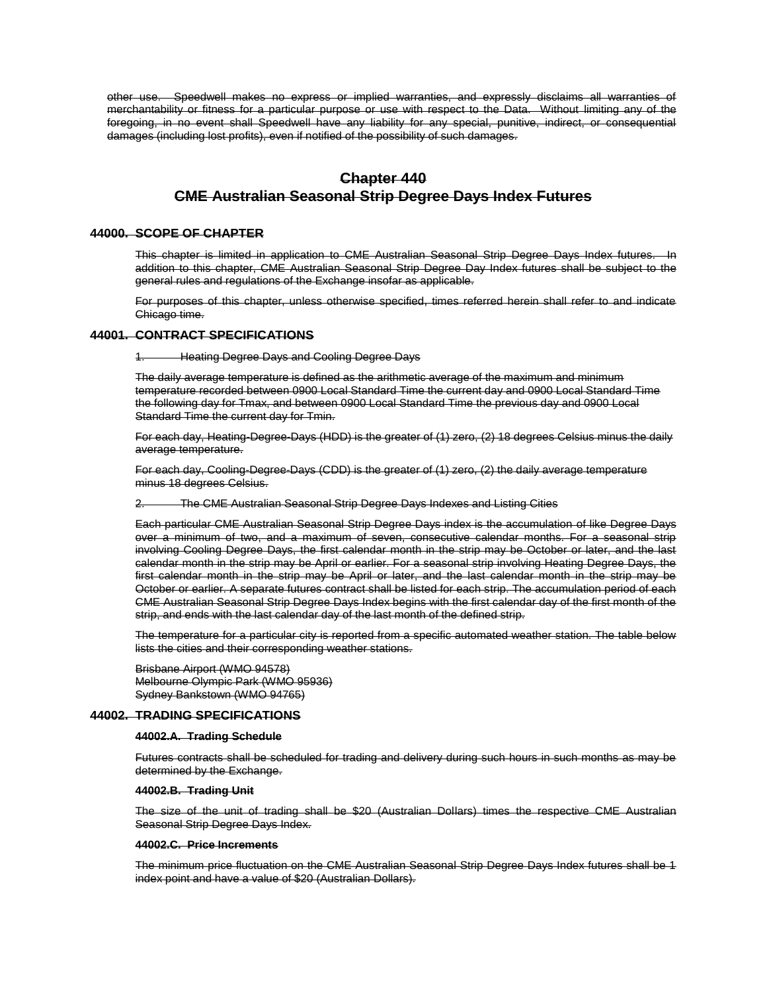other use. Speedwell makes no express or implied warranties, and expressly disclaims all warranties of merchantability or fitness for a particular purpose or use with respect to the Data. Without limiting any of the foregoing, in no event shall Speedwell have any liability for any special, punitive, indirect, or consequential damages (including lost profits), even if notified of the possibility of such damages.

# **Chapter 440 CME Australian Seasonal Strip Degree Days Index Futures**

# **44000. SCOPE OF CHAPTER**

This chapter is limited in application to CME Australian Seasonal Strip Degree Days Index futures. In addition to this chapter, CME Australian Seasonal Strip Degree Day Index futures shall be subject to the general rules and regulations of the Exchange insofar as applicable.

For purposes of this chapter, unless otherwise specified, times referred herein shall refer to and indicate Chicago time.

# **44001. CONTRACT SPECIFICATIONS**

1. Heating Degree Days and Cooling Degree Days

The daily average temperature is defined as the arithmetic average of the maximum and minimum temperature recorded between 0900 Local Standard Time the current day and 0900 Local Standard Time the following day for Tmax, and between 0900 Local Standard Time the previous day and 0900 Local Standard Time the current day for Tmin.

For each day, Heating-Degree-Days (HDD) is the greater of (1) zero, (2) 18 degrees Celsius minus the daily average temperature.

For each day, Cooling-Degree-Days (CDD) is the greater of (1) zero, (2) the daily average temperature minus 18 degrees Celsius.

2. The CME Australian Seasonal Strip Degree Days Indexes and Listing Cities

Each particular CME Australian Seasonal Strip Degree Days index is the accumulation of like Degree Days over a minimum of two, and a maximum of seven, consecutive calendar months. For a seasonal strip involving Cooling Degree Days, the first calendar month in the strip may be October or later, and the last calendar month in the strip may be April or earlier. For a seasonal strip involving Heating Degree Days, the first calendar month in the strip may be April or later, and the last calendar month in the strip may be October or earlier. A separate futures contract shall be listed for each strip. The accumulation period of each CME Australian Seasonal Strip Degree Days Index begins with the first calendar day of the first month of the strip, and ends with the last calendar day of the last month of the defined strip.

The temperature for a particular city is reported from a specific automated weather station. The table below lists the cities and their corresponding weather stations.

Brisbane Airport (WMO 94578) Melbourne Olympic Park (WMO 95936) Sydney Bankstown (WMO 94765)

# **44002. TRADING SPECIFICATIONS**

#### **44002.A. Trading Schedule**

Futures contracts shall be scheduled for trading and delivery during such hours in such months as may be determined by the Exchange.

### **44002.B. Trading Unit**

The size of the unit of trading shall be \$20 (Australian Dollars) times the respective CME Australian Seasonal Strip Degree Days Index.

#### **44002.C. Price Increments**

The minimum price fluctuation on the CME Australian Seasonal Strip Degree Days Index futures shall be 1 index point and have a value of \$20 (Australian Dollars).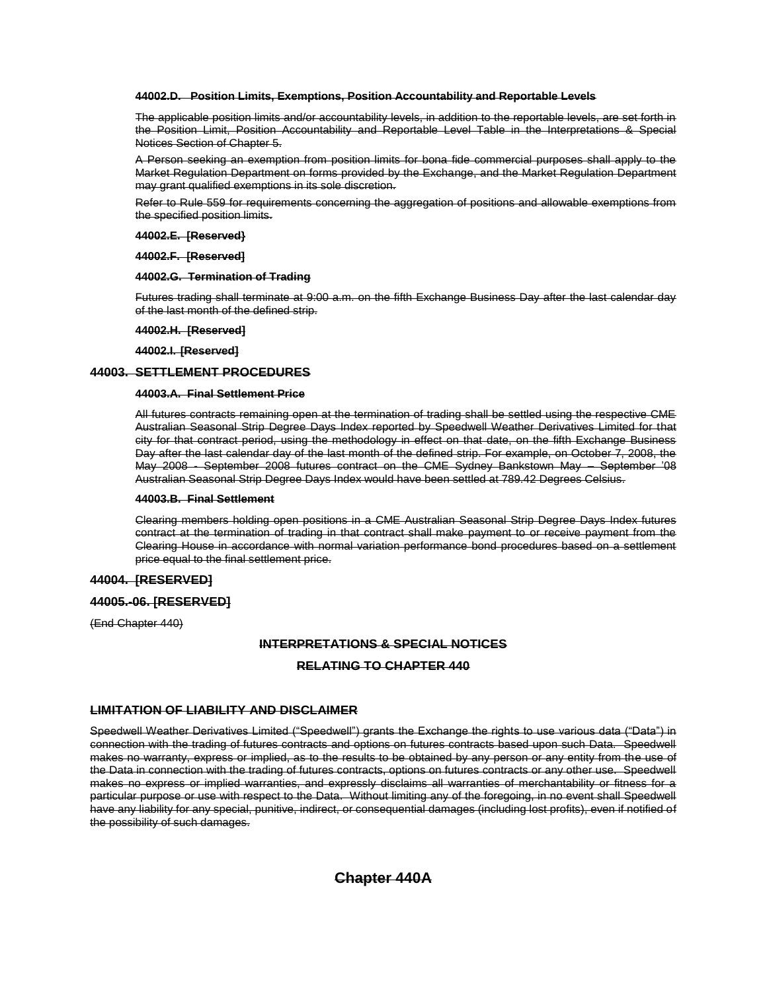### **44002.D. Position Limits, Exemptions, Position Accountability and Reportable Levels**

The applicable position limits and/or accountability levels, in addition to the reportable levels, are set forth in the Position Limit, Position Accountability and Reportable Level Table in the Interpretations & Special Notices Section of Chapter 5.

A Person seeking an exemption from position limits for bona fide commercial purposes shall apply to the Market Regulation Department on forms provided by the Exchange, and the Market Regulation Department may grant qualified exemptions in its sole discretion.

Refer to Rule 559 for requirements concerning the aggregation of positions and allowable exemptions from the specified position limits.

**44002.E. [Reserved}**

### **44002.F. [Reserved]**

### **44002.G. Termination of Trading**

Futures trading shall terminate at 9:00 a.m. on the fifth Exchange Business Day after the last calendar day of the last month of the defined strip.

# **44002.H. [Reserved]**

**44002.I. [Reserved]**

# **44003. SETTLEMENT PROCEDURES**

### **44003.A. Final Settlement Price**

All futures contracts remaining open at the termination of trading shall be settled using the respective CME Australian Seasonal Strip Degree Days Index reported by Speedwell Weather Derivatives Limited for that city for that contract period, using the methodology in effect on that date, on the fifth Exchange Business Day after the last calendar day of the last month of the defined strip. For example, on October 7, 2008, the May 2008 - September 2008 futures contract on the CME Sydney Bankstown May – September '08 Australian Seasonal Strip Degree Days Index would have been settled at 789.42 Degrees Celsius.

#### **44003.B. Final Settlement**

Clearing members holding open positions in a CME Australian Seasonal Strip Degree Days Index futures contract at the termination of trading in that contract shall make payment to or receive payment from the Clearing House in accordance with normal variation performance bond procedures based on a settlement price equal to the final settlement price.

# **44004. [RESERVED]**

## **44005.-06. [RESERVED]**

(End Chapter 440)

# **INTERPRETATIONS & SPECIAL NOTICES**

## **RELATING TO CHAPTER 440**

# **LIMITATION OF LIABILITY AND DISCLAIMER**

Speedwell Weather Derivatives Limited ("Speedwell") grants the Exchange the rights to use various data ("Data") in connection with the trading of futures contracts and options on futures contracts based upon such Data. Speedwell makes no warranty, express or implied, as to the results to be obtained by any person or any entity from the use of the Data in connection with the trading of futures contracts, options on futures contracts or any other use. Speedwell makes no express or implied warranties, and expressly disclaims all warranties of merchantability or fitness for a particular purpose or use with respect to the Data. Without limiting any of the foregoing, in no event shall Speedwell have any liability for any special, punitive, indirect, or consequential damages (including lost profits), even if notified of the possibility of such damages.

# **Chapter 440A**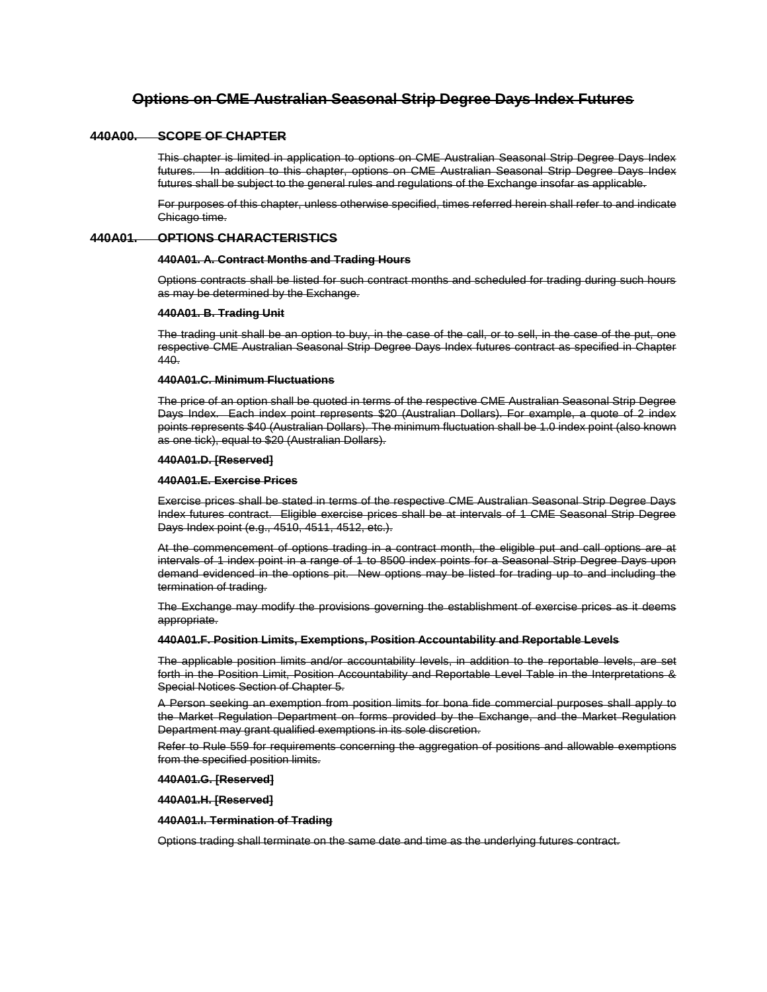# **Options on CME Australian Seasonal Strip Degree Days Index Futures**

### **440A00. SCOPE OF CHAPTER**

This chapter is limited in application to options on CME Australian Seasonal Strip Degree Days Index futures. In addition to this chapter, options on CME Australian Seasonal Strip Degree Days Index futures shall be subject to the general rules and regulations of the Exchange insofar as applicable.

For purposes of this chapter, unless otherwise specified, times referred herein shall refer to and indicate Chicago time.

### **440A01. OPTIONS CHARACTERISTICS**

# **440A01. A. Contract Months and Trading Hours**

Options contracts shall be listed for such contract months and scheduled for trading during such hours as may be determined by the Exchange.

#### **440A01. B. Trading Unit**

The trading unit shall be an option to buy, in the case of the call, or to sell, in the case of the put, one respective CME Australian Seasonal Strip Degree Days Index futures contract as specified in Chapter 440.

### **440A01.C. Minimum Fluctuations**

The price of an option shall be quoted in terms of the respective CME Australian Seasonal Strip Degree Days Index. Each index point represents \$20 (Australian Dollars). For example, a quote of 2 index points represents \$40 (Australian Dollars). The minimum fluctuation shall be 1.0 index point (also known as one tick), equal to \$20 (Australian Dollars).

### **440A01.D. [Reserved]**

#### **440A01.E. Exercise Prices**

Exercise prices shall be stated in terms of the respective CME Australian Seasonal Strip Degree Days Index futures contract. Eligible exercise prices shall be at intervals of 1 CME Seasonal Strip Degree Days Index point (e.g., 4510, 4511, 4512, etc.).

At the commencement of options trading in a contract month, the eligible put and call options are at intervals of 1 index point in a range of 1 to 8500 index points for a Seasonal Strip Degree Days upon demand evidenced in the options pit. New options may be listed for trading up to and including the termination of trading.

The Exchange may modify the provisions governing the establishment of exercise prices as it deems appropriate.

#### **440A01.F. Position Limits, Exemptions, Position Accountability and Reportable Levels**

The applicable position limits and/or accountability levels, in addition to the reportable levels, are set forth in the Position Limit, Position Accountability and Reportable Level Table in the Interpretations & Special Notices Section of Chapter 5.

A Person seeking an exemption from position limits for bona fide commercial purposes shall apply to the Market Regulation Department on forms provided by the Exchange, and the Market Regulation Department may grant qualified exemptions in its sole discretion.

Refer to Rule 559 for requirements concerning the aggregation of positions and allowable exemptions from the specified position limits.

**440A01.G. [Reserved]**

**440A01.H. [Reserved]**

### **440A01.I. Termination of Trading**

Options trading shall terminate on the same date and time as the underlying futures contract.